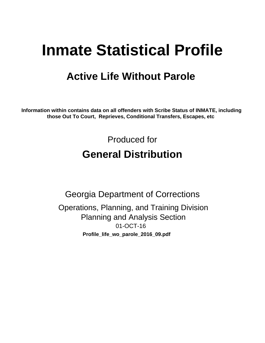# **Inmate Statistical Profile**

## **Active Life Without Parole**

Information within contains data on all offenders with Scribe Status of INMATE, including those Out To Court, Reprieves, Conditional Transfers, Escapes, etc

> Produced for **General Distribution**

**Georgia Department of Corrections** Operations, Planning, and Training Division **Planning and Analysis Section** 01-OCT-16 Profile\_life\_wo\_parole\_2016\_09.pdf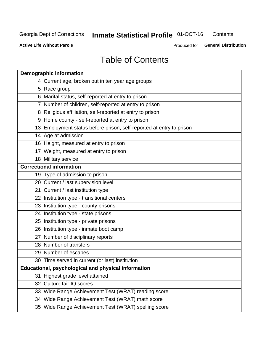#### **Inmate Statistical Profile 01-OCT-16** Contents

**Active Life Without Parole** 

Produced for General Distribution

## **Table of Contents**

| <b>Demographic information</b>                                       |
|----------------------------------------------------------------------|
| 4 Current age, broken out in ten year age groups                     |
| 5 Race group                                                         |
| 6 Marital status, self-reported at entry to prison                   |
| 7 Number of children, self-reported at entry to prison               |
| 8 Religious affiliation, self-reported at entry to prison            |
| 9 Home county - self-reported at entry to prison                     |
| 13 Employment status before prison, self-reported at entry to prison |
| 14 Age at admission                                                  |
| 16 Height, measured at entry to prison                               |
| 17 Weight, measured at entry to prison                               |
| 18 Military service                                                  |
| <b>Correctional information</b>                                      |
| 19 Type of admission to prison                                       |
| 20 Current / last supervision level                                  |
| 21 Current / last institution type                                   |
| 22 Institution type - transitional centers                           |
| 23 Institution type - county prisons                                 |
| 24 Institution type - state prisons                                  |
| 25 Institution type - private prisons                                |
| 26 Institution type - inmate boot camp                               |
| 27 Number of disciplinary reports                                    |
| 28 Number of transfers                                               |
| 29 Number of escapes                                                 |
| 30 Time served in current (or last) institution                      |
| Educational, psychological and physical information                  |
| 31 Highest grade level attained                                      |
| 32 Culture fair IQ scores                                            |
| 33 Wide Range Achievement Test (WRAT) reading score                  |
| 34 Wide Range Achievement Test (WRAT) math score                     |
| 35 Wide Range Achievement Test (WRAT) spelling score                 |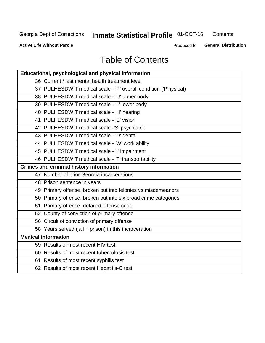## **Inmate Statistical Profile 01-OCT-16**

Contents

**Active Life Without Parole** 

Produced for General Distribution

## **Table of Contents**

| Educational, psychological and physical information              |
|------------------------------------------------------------------|
| 36 Current / last mental health treatment level                  |
| 37 PULHESDWIT medical scale - 'P' overall condition ('P'hysical) |
| 38 PULHESDWIT medical scale - 'U' upper body                     |
| 39 PULHESDWIT medical scale - 'L' lower body                     |
| 40 PULHESDWIT medical scale - 'H' hearing                        |
| 41 PULHESDWIT medical scale - 'E' vision                         |
| 42 PULHESDWIT medical scale -'S' psychiatric                     |
| 43 PULHESDWIT medical scale - 'D' dental                         |
| 44 PULHESDWIT medical scale - 'W' work ability                   |
| 45 PULHESDWIT medical scale - 'I' impairment                     |
| 46 PULHESDWIT medical scale - 'T' transportability               |
| <b>Crimes and criminal history information</b>                   |
| 47 Number of prior Georgia incarcerations                        |
| 48 Prison sentence in years                                      |
| 49 Primary offense, broken out into felonies vs misdemeanors     |
| 50 Primary offense, broken out into six broad crime categories   |
| 51 Primary offense, detailed offense code                        |
| 52 County of conviction of primary offense                       |
| 56 Circuit of conviction of primary offense                      |
| 58 Years served (jail + prison) in this incarceration            |
| <b>Medical information</b>                                       |
| 59 Results of most recent HIV test                               |
| 60 Results of most recent tuberculosis test                      |
| 61 Results of most recent syphilis test                          |
| 62 Results of most recent Hepatitis-C test                       |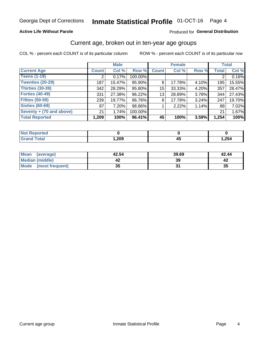#### **Active Life Without Parole**

#### Produced for General Distribution

### Current age, broken out in ten-year age groups

COL % - percent each COUNT is of its particular column

|                          | <b>Male</b>     |        |         |              | <b>Female</b> |       |              | <b>Total</b> |
|--------------------------|-----------------|--------|---------|--------------|---------------|-------|--------------|--------------|
| <b>Current Age</b>       | <b>Count</b>    | Col %  | Row %   | <b>Count</b> | Col %         | Row % | <b>Total</b> | Col %        |
| <b>Teens (1-19)</b>      | ◠               | 0.17%  | 100.00% |              |               |       | 2            | 0.16%        |
| <b>Twenties (20-29)</b>  | 187             | 15.47% | 95.90%  | 8            | 17.78%        | 4.10% | 195          | 15.55%       |
| Thirties (30-39)         | 342             | 28.29% | 95.80%  | 15           | 33.33%        | 4.20% | 357          | 28.47%       |
| <b>Forties (40-49)</b>   | 331             | 27.38% | 96.22%  | 13           | 28.89%        | 3.78% | 344          | 27.43%       |
| <b>Fifties (50-59)</b>   | 239             | 19.77% | 96.76%  | 8            | 17.78%        | 3.24% | 247          | 19.70%       |
| <b>Sixties (60-69)</b>   | 87 <sup>°</sup> | 7.20%  | 98.86%  |              | 2.22%         | 1.14% | 88           | 7.02%        |
| Seventy + (70 and above) | 21              | 1.74%  | 100.00% |              |               |       | 21           | 1.67%        |
| <b>Total Reported</b>    | 1,209           | 100%   | 96.41%  | 45           | 100%          | 3.59% | 1,254        | 100%         |

| <b><i>Committee States</i></b><br>тек |      |      |
|---------------------------------------|------|------|
| $C = 4$                               | ,209 | ,254 |

| Mean<br>(average)    | 42.54    | 39.69 | 42.44 |
|----------------------|----------|-------|-------|
| Median (middle)      |          | 39    |       |
| Mode (most frequent) | つん<br>vu |       | 35    |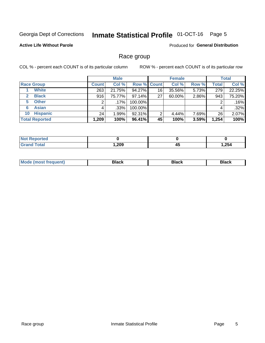#### **Inmate Statistical Profile 01-OCT-16** Page 5

#### **Active Life Without Parole**

**Produced for General Distribution** 

### Race group

COL % - percent each COUNT is of its particular column

|                              | <b>Male</b>  |         |                    | <b>Female</b> |        |       | <b>Total</b> |        |
|------------------------------|--------------|---------|--------------------|---------------|--------|-------|--------------|--------|
| <b>Race Group</b>            | <b>Count</b> | Col %   | <b>Row % Count</b> |               | Col %  | Row % | <b>Total</b> | Col %  |
| <b>White</b>                 | 263          | 21.75%  | 94.27%             | 16            | 35.56% | 5.73% | 279          | 22.25% |
| <b>Black</b><br>$\mathbf{2}$ | 916          | 75.77%  | 97.14%             | 27            | 60.00% | 2.86% | 943          | 75.20% |
| <b>Other</b><br>5.           |              | $.17\%$ | 100.00%            |               |        |       | 2            | .16%   |
| <b>Asian</b><br>6            | 4            | $.33\%$ | 100.00%            |               |        |       | 4            | .32%   |
| <b>Hispanic</b><br>10        | 24           | 1.99%   | 92.31%             | 2             | 4.44%  | 7.69% | 26           | 2.07%  |
| <b>Total Reported</b>        | 1,209        | 100%    | 96.41%             | 45            | 100%   | 3.59% | 1,254        | 100%   |

| теа |      |           |       |
|-----|------|-----------|-------|
|     | ,209 | - -<br>43 | 1,254 |

| M | - - - |  |
|---|-------|--|
|   |       |  |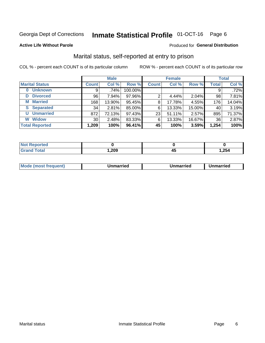#### **Inmate Statistical Profile 01-OCT-16** Page 6

#### **Active Life Without Parole**

#### Produced for General Distribution

## Marital status, self-reported at entry to prison

COL % - percent each COUNT is of its particular column

|                        | <b>Male</b>  |        |         | <b>Female</b> |        |        | <b>Total</b>    |        |
|------------------------|--------------|--------|---------|---------------|--------|--------|-----------------|--------|
| <b>Marital Status</b>  | <b>Count</b> | Col %  | Row %   | <b>Count</b>  | Col %  | Row %  | <b>Total</b>    | Col %  |
| <b>Unknown</b><br>0    | 9            | .74%   | 100.00% |               |        |        | 9               | .72%   |
| <b>Divorced</b><br>D   | 96           | 7.94%  | 97.96%  | 2             | 4.44%  | 2.04%  | 98              | 7.81%  |
| <b>Married</b><br>М    | 168          | 13.90% | 95.45%  | 8             | 17.78% | 4.55%  | 176             | 14.04% |
| <b>Separated</b><br>S. | 34           | 2.81%  | 85.00%  | 6             | 13.33% | 15.00% | 40              | 3.19%  |
| <b>Unmarried</b><br>U  | 872          | 72.13% | 97.43%  | 23            | 51.11% | 2.57%  | 895             | 71.37% |
| <b>Widow</b><br>W      | 30           | 2.48%  | 83.33%  | 6             | 13.33% | 16.67% | 36 <sub>1</sub> | 2.87%  |
| <b>Total Reported</b>  | 1,209        | 100%   | 96.41%  | 45            | 100%   | 3.59%  | 1,254           | 100%   |

| <b>Not Reported</b><br>. <b>.</b> |      |    |       |
|-----------------------------------|------|----|-------|
| Total                             | ,209 | т. | 1,254 |

|  | M | . | Unmarried | າmarried<br>_____ |
|--|---|---|-----------|-------------------|
|--|---|---|-----------|-------------------|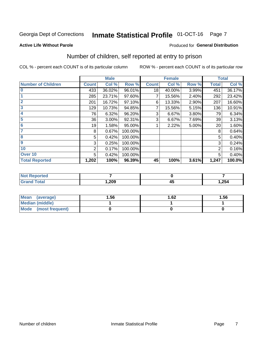#### **Inmate Statistical Profile 01-OCT-16** Page 7

#### **Active Life Without Parole**

#### **Produced for General Distribution**

## Number of children, self reported at entry to prison

COL % - percent each COUNT is of its particular column

|                           |              | <b>Male</b> |         |              | <b>Female</b> |       |                | <b>Total</b> |
|---------------------------|--------------|-------------|---------|--------------|---------------|-------|----------------|--------------|
| <b>Number of Children</b> | <b>Count</b> | Col %       | Row %   | <b>Count</b> | Col %         | Row % | <b>Total</b>   | Col %        |
| $\bf{0}$                  | 433          | 36.02%      | 96.01%  | 18           | 40.00%        | 3.99% | 451            | 36.17%       |
|                           | 285          | 23.71%      | 97.60%  |              | 15.56%        | 2.40% | 292            | 23.42%       |
| $\overline{2}$            | 201          | 16.72%      | 97.10%  | 6            | 13.33%        | 2.90% | 207            | 16.60%       |
| 3                         | 129          | 10.73%      | 94.85%  |              | 15.56%        | 5.15% | 136            | 10.91%       |
| 4                         | 76           | 6.32%       | 96.20%  | 3            | 6.67%         | 3.80% | 79             | 6.34%        |
| 5                         | 36           | 3.00%       | 92.31%  | 3            | 6.67%         | 7.69% | 39             | 3.13%        |
| 6                         | 19           | 1.58%       | 95.00%  |              | 2.22%         | 5.00% | 20             | 1.60%        |
| 7                         | 8            | 0.67%       | 100.00% |              |               |       | 8              | 0.64%        |
| 8                         | 5            | 0.42%       | 100.00% |              |               |       | 5              | 0.40%        |
| $\boldsymbol{9}$          | 3            | 0.25%       | 100.00% |              |               |       | 3              | 0.24%        |
| 10                        | 2            | 0.17%       | 100.00% |              |               |       | $\overline{2}$ | 0.16%        |
| Over 10                   | 5            | 0.42%       | 100.00% |              |               |       | 5              | 0.40%        |
| <b>Total Reported</b>     | 1,202        | 100%        | 96.39%  | 45           | 100%          | 3.61% | 1,247          | 100.0%       |

| пето |      |                |       |
|------|------|----------------|-------|
| --   | ,209 | - -<br>л<br>≖∾ | 1,254 |

| <b>Mean</b><br>(average) | 1.56 | 1.62 | 1.56 |
|--------------------------|------|------|------|
| Median (middle)          |      |      |      |
| Mode (most frequent)     |      |      |      |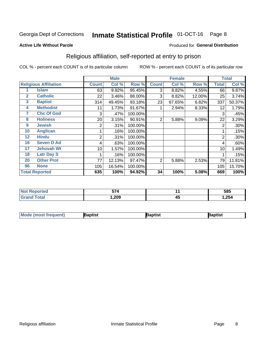#### **Inmate Statistical Profile 01-OCT-16** Page 8

#### **Active Life Without Parole**

#### Produced for General Distribution

## Religious affiliation, self-reported at entry to prison

COL % - percent each COUNT is of its particular column

|              |                              | <b>Male</b>  |        |         | <b>Female</b> |        |        | <b>Total</b>   |        |
|--------------|------------------------------|--------------|--------|---------|---------------|--------|--------|----------------|--------|
|              | <b>Religious Affiliation</b> | <b>Count</b> | Col %  | Row %   | <b>Count</b>  | Col %  | Row %  | <b>Total</b>   | Col %  |
|              | <b>Islam</b>                 | 63           | 9.92%  | 95.45%  | 3             | 8.82%  | 4.55%  | 66             | 9.87%  |
| $\mathbf{2}$ | <b>Catholic</b>              | 22           | 3.46%  | 88.00%  | 3             | 8.82%  | 12.00% | 25             | 3.74%  |
| 3            | <b>Baptist</b>               | 314          | 49.45% | 93.18%  | 23            | 67.65% | 6.82%  | 337            | 50.37% |
| 4            | <b>Methodist</b>             | 11           | 1.73%  | 91.67%  |               | 2.94%  | 8.33%  | 12             | 1.79%  |
| 7            | <b>Chc Of God</b>            | 3            | .47%   | 100.00% |               |        |        | 3              | .45%   |
| 8            | <b>Holiness</b>              | 20           | 3.15%  | 90.91%  | 2             | 5.88%  | 9.09%  | 22             | 3.29%  |
| 9            | <b>Jewish</b>                | 2            | .31%   | 100.00% |               |        |        | $\overline{2}$ | .30%   |
| 10           | <b>Anglican</b>              |              | .16%   | 100.00% |               |        |        |                | .15%   |
| 12           | <b>Hindu</b>                 | 2            | .31%   | 100.00% |               |        |        | $\overline{2}$ | .30%   |
| 16           | <b>Seven D Ad</b>            | 4            | .63%   | 100.00% |               |        |        | 4              | .60%   |
| 17           | <b>Jehovah Wt</b>            | 10           | 1.57%  | 100.00% |               |        |        | 10             | 1.49%  |
| 18           | <b>Latr Day S</b>            |              | .16%   | 100.00% |               |        |        |                | .15%   |
| 20           | <b>Other Prot</b>            | 77           | 12.13% | 97.47%  | 2             | 5.88%  | 2.53%  | 79             | 11.81% |
| 96           | <b>None</b>                  | 105          | 16.54% | 100.00% |               |        |        | 105            | 15.70% |
|              | <b>Total Reported</b>        | 635          | 100%   | 94.92%  | 34            | 100%   | 5.08%  | 669            | 100%   |

| ı teu<br>. | -- 1   |   | 585   |
|------------|--------|---|-------|
|            | 209, ا | ∼ | 1,254 |

| <b>Mode (most frequent)</b> | 3aptist | 3aptist | Baptist |
|-----------------------------|---------|---------|---------|
|-----------------------------|---------|---------|---------|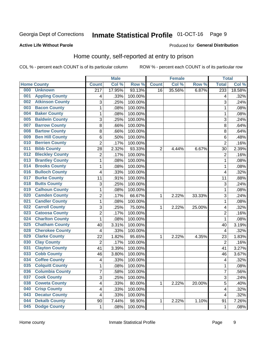#### **Inmate Statistical Profile 01-OCT-16** Page 9

#### **Active Life Without Parole**

#### Produced for General Distribution

## Home county, self-reported at entry to prison

COL % - percent each COUNT is of its particular column

|     |                        |                  | <b>Male</b> |         | <b>Female</b>  |        |        | <b>Total</b>            |        |
|-----|------------------------|------------------|-------------|---------|----------------|--------|--------|-------------------------|--------|
|     | <b>Home County</b>     | <b>Count</b>     | Col %       | Row %   | <b>Count</b>   | Col %  | Row %  | <b>Total</b>            | Col%   |
| 000 | <b>Unknown</b>         | $\overline{217}$ | 17.95%      | 93.13%  | 16             | 35.56% | 6.87%  | 233                     | 18.58% |
| 001 | <b>Appling County</b>  | 4                | .33%        | 100.00% |                |        |        | 4                       | .32%   |
| 002 | <b>Atkinson County</b> | 3                | .25%        | 100.00% |                |        |        | 3                       | .24%   |
| 003 | <b>Bacon County</b>    | $\mathbf 1$      | .08%        | 100.00% |                |        |        | 1                       | .08%   |
| 004 | <b>Baker County</b>    | $\mathbf 1$      | .08%        | 100.00% |                |        |        | 1                       | .08%   |
| 005 | <b>Baldwin County</b>  | 3                | .25%        | 100.00% |                |        |        | 3                       | .24%   |
| 007 | <b>Barrow County</b>   | 8                | .66%        | 100.00% |                |        |        | 8                       | .64%   |
| 008 | <b>Bartow County</b>   | 8                | .66%        | 100.00% |                |        |        | 8                       | .64%   |
| 009 | <b>Ben Hill County</b> | 6                | .50%        | 100.00% |                |        |        | 6                       | .48%   |
| 010 | <b>Berrien County</b>  | $\overline{2}$   | .17%        | 100.00% |                |        |        | $\overline{2}$          | .16%   |
| 011 | <b>Bibb County</b>     | 28               | 2.32%       | 93.33%  | $\overline{2}$ | 4.44%  | 6.67%  | 30                      | 2.39%  |
| 012 | <b>Bleckley County</b> | 2                | .17%        | 100.00% |                |        |        | $\overline{2}$          | .16%   |
| 013 | <b>Brantley County</b> | $\mathbf{1}$     | .08%        | 100.00% |                |        |        | 1                       | .08%   |
| 014 | <b>Brooks County</b>   | $\mathbf 1$      | .08%        | 100.00% |                |        |        | 1                       | .08%   |
| 016 | <b>Bulloch County</b>  | 4                | .33%        | 100.00% |                |        |        | $\overline{4}$          | .32%   |
| 017 | <b>Burke County</b>    | 11               | .91%        | 100.00% |                |        |        | 11                      | .88%   |
| 018 | <b>Butts County</b>    | 3                | .25%        | 100.00% |                |        |        | 3                       | .24%   |
| 019 | <b>Calhoun County</b>  | $\mathbf 1$      | .08%        | 100.00% |                |        |        | 1                       | .08%   |
| 020 | <b>Camden County</b>   | $\overline{2}$   | .17%        | 66.67%  | 1              | 2.22%  | 33.33% | 3                       | .24%   |
| 021 | <b>Candler County</b>  | $\mathbf 1$      | .08%        | 100.00% |                |        |        | 1                       | .08%   |
| 022 | <b>Carroll County</b>  | 3                | .25%        | 75.00%  | 1              | 2.22%  | 25.00% | 4                       | .32%   |
| 023 | <b>Catoosa County</b>  | $\overline{c}$   | .17%        | 100.00% |                |        |        | $\overline{2}$          | .16%   |
| 024 | <b>Charlton County</b> | $\mathbf 1$      | .08%        | 100.00% |                |        |        | 1                       | .08%   |
| 025 | <b>Chatham County</b>  | 40               | 3.31%       | 100.00% |                |        |        | 40                      | 3.19%  |
| 028 | <b>Cherokee County</b> | 4                | .33%        | 100.00% |                |        |        | 4                       | .32%   |
| 029 | <b>Clarke County</b>   | 22               | 1.82%       | 95.65%  | 1              | 2.22%  | 4.35%  | 23                      | 1.83%  |
| 030 | <b>Clay County</b>     | $\overline{2}$   | .17%        | 100.00% |                |        |        | $\overline{2}$          | .16%   |
| 031 | <b>Clayton County</b>  | 41               | 3.39%       | 100.00% |                |        |        | 41                      | 3.27%  |
| 033 | <b>Cobb County</b>     | 46               | 3.80%       | 100.00% |                |        |        | 46                      | 3.67%  |
| 034 | <b>Coffee County</b>   | 4                | .33%        | 100.00% |                |        |        | 4                       | .32%   |
| 035 | <b>Colquitt County</b> | 1                | .08%        | 100.00% |                |        |        | 1                       | .08%   |
| 036 | <b>Columbia County</b> | 7                | .58%        | 100.00% |                |        |        | $\overline{7}$          | .56%   |
| 037 | <b>Cook County</b>     | 3                | .25%        | 100.00% |                |        |        | 3                       | .24%   |
| 038 | <b>Coweta County</b>   | 4                | .33%        | 80.00%  | 1              | 2.22%  | 20.00% | $\sqrt{5}$              | .40%   |
| 040 | <b>Crisp County</b>    | 4                | .33%        | 100.00% |                |        |        | $\overline{\mathbf{4}}$ | .32%   |
| 043 | <b>Decatur County</b>  | 4                | .33%        | 100.00% |                |        |        | 4                       | .32%   |
| 044 | <b>Dekalb County</b>   | 90               | 7.44%       | 98.90%  | 1              | 2.22%  | 1.10%  | 91                      | 7.26%  |
| 045 | <b>Dodge County</b>    | 1                | .08%        | 100.00% |                |        |        | 1                       | .08%   |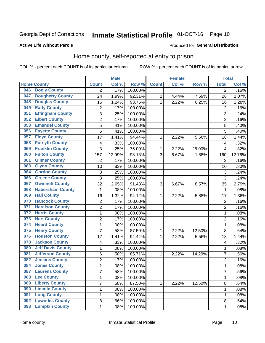## Inmate Statistical Profile 01-OCT-16 Page 10

#### **Active Life Without Parole**

#### **Produced for General Distribution**

## Home county, self-reported at entry to prison

COL % - percent each COUNT is of its particular column

|     |                          |                | <b>Male</b> |                  |                | <b>Female</b> |        |                | <b>Total</b> |  |
|-----|--------------------------|----------------|-------------|------------------|----------------|---------------|--------|----------------|--------------|--|
|     | <b>Home County</b>       | <b>Count</b>   | Col %       | Row <sup>%</sup> | <b>Count</b>   | Col %         | Row %  | <b>Total</b>   | Col %        |  |
| 046 | <b>Dooly County</b>      | $\overline{2}$ | .17%        | 100.00%          |                |               |        | $\overline{2}$ | .16%         |  |
| 047 | <b>Dougherty County</b>  | 24             | 1.99%       | 92.31%           | $\overline{c}$ | 4.44%         | 7.69%  | 26             | 2.07%        |  |
| 048 | <b>Douglas County</b>    | 15             | 1.24%       | 93.75%           | 1              | 2.22%         | 6.25%  | 16             | 1.28%        |  |
| 049 | <b>Early County</b>      | 2              | .17%        | 100.00%          |                |               |        | $\overline{2}$ | .16%         |  |
| 051 | <b>Effingham County</b>  | 3              | .25%        | 100.00%          |                |               |        | 3              | .24%         |  |
| 052 | <b>Elbert County</b>     | $\overline{2}$ | .17%        | 100.00%          |                |               |        | $\overline{2}$ | .16%         |  |
| 053 | <b>Emanuel County</b>    | 5              | .41%        | 100.00%          |                |               |        | 5              | .40%         |  |
| 056 | <b>Fayette County</b>    | 5              | .41%        | 100.00%          |                |               |        | 5              | .40%         |  |
| 057 | <b>Floyd County</b>      | 17             | 1.41%       | 94.44%           | 1              | 2.22%         | 5.56%  | 18             | 1.44%        |  |
| 058 | <b>Forsyth County</b>    | 4              | .33%        | 100.00%          |                |               |        | 4              | .32%         |  |
| 059 | <b>Franklin County</b>   | 3              | .25%        | 75.00%           | 1              | 2.22%         | 25.00% | 4              | .32%         |  |
| 060 | <b>Fulton County</b>     | 157            | 12.99%      | 98.13%           | 3              | 6.67%         | 1.88%  | 160            | 12.76%       |  |
| 061 | <b>Gilmer County</b>     | $\overline{2}$ | .17%        | 100.00%          |                |               |        | $\overline{2}$ | .16%         |  |
| 063 | <b>Glynn County</b>      | 10             | .83%        | 100.00%          |                |               |        | 10             | .80%         |  |
| 064 | <b>Gordon County</b>     | 3              | .25%        | 100.00%          |                |               |        | 3              | .24%         |  |
| 066 | <b>Greene County</b>     | 3              | .25%        | 100.00%          |                |               |        | 3              | .24%         |  |
| 067 | <b>Gwinnett County</b>   | 32             | 2.65%       | 91.43%           | 3              | 6.67%         | 8.57%  | 35             | 2.79%        |  |
| 068 | <b>Habersham County</b>  | 1              | .08%        | 100.00%          |                |               |        | 1              | .08%         |  |
| 069 | <b>Hall County</b>       | 16             | 1.32%       | 94.12%           | 1              | 2.22%         | 5.88%  | 17             | 1.36%        |  |
| 070 | <b>Hancock County</b>    | $\overline{2}$ | .17%        | 100.00%          |                |               |        | $\overline{2}$ | .16%         |  |
| 071 | <b>Haralson County</b>   | $\overline{2}$ | .17%        | 100.00%          |                |               |        | $\overline{2}$ | .16%         |  |
| 072 | <b>Harris County</b>     | $\mathbf{1}$   | .08%        | 100.00%          |                |               |        | 1              | .08%         |  |
| 073 | <b>Hart County</b>       | $\overline{c}$ | .17%        | 100.00%          |                |               |        | $\overline{2}$ | .16%         |  |
| 074 | <b>Heard County</b>      | 1              | .08%        | 100.00%          |                |               |        | 1              | .08%         |  |
| 075 | <b>Henry County</b>      | $\overline{7}$ | .58%        | 87.50%           | 1              | 2.22%         | 12.50% | 8              | .64%         |  |
| 076 | <b>Houston County</b>    | 17             | 1.41%       | 94.44%           | 1              | 2.22%         | 5.56%  | 18             | 1.44%        |  |
| 078 | <b>Jackson County</b>    | 4              | .33%        | 100.00%          |                |               |        | 4              | .32%         |  |
| 080 | <b>Jeff Davis County</b> | 1              | .08%        | 100.00%          |                |               |        | 1              | .08%         |  |
| 081 | <b>Jefferson County</b>  | 6              | .50%        | 85.71%           | 1              | 2.22%         | 14.29% | 7              | .56%         |  |
| 082 | <b>Jenkins County</b>    | $\overline{2}$ | .17%        | 100.00%          |                |               |        | $\overline{2}$ | .16%         |  |
| 084 | <b>Jones County</b>      | $\mathbf{1}$   | .08%        | 100.00%          |                |               |        | 1              | .08%         |  |
| 087 | <b>Laurens County</b>    | $\overline{7}$ | .58%        | 100.00%          |                |               |        | 7              | .56%         |  |
| 088 | <b>Lee County</b>        | $\mathbf{1}$   | .08%        | 100.00%          |                |               |        | 1              | .08%         |  |
| 089 | <b>Liberty County</b>    | $\overline{7}$ | .58%        | 87.50%           | 1              | 2.22%         | 12.50% | 8              | .64%         |  |
| 090 | <b>Lincoln County</b>    | $\mathbf 1$    | .08%        | 100.00%          |                |               |        | 1              | .08%         |  |
| 091 | <b>Long County</b>       | 1              | .08%        | 100.00%          |                |               |        | 1              | .08%         |  |
| 092 | <b>Lowndes County</b>    | 8              | .66%        | 100.00%          |                |               |        | 8              | .64%         |  |
| 093 | <b>Lumpkin County</b>    | $\mathbf{1}$   | .08%        | 100.00%          |                |               |        | 1              | .08%         |  |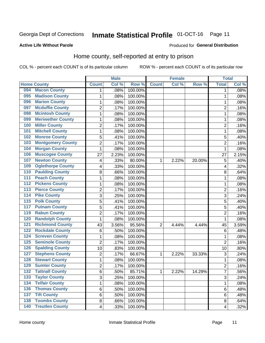## Inmate Statistical Profile 01-OCT-16 Page 11

#### **Active Life Without Parole**

#### Produced for General Distribution

## Home county, self-reported at entry to prison

COL % - percent each COUNT is of its particular column

|                  |                          |                         | <b>Male</b> |         | <b>Female</b> |       | <b>Total</b> |                |       |
|------------------|--------------------------|-------------------------|-------------|---------|---------------|-------|--------------|----------------|-------|
|                  | <b>Home County</b>       | <b>Count</b>            | Col %       | Row %   | <b>Count</b>  | Col % | Row %        | <b>Total</b>   | Col % |
| 094              | <b>Macon County</b>      | 1                       | .08%        | 100.00% |               |       |              | 1              | .08%  |
| 095              | <b>Madison County</b>    | $\mathbf{1}$            | .08%        | 100.00% |               |       |              | 1              | .08%  |
| 096              | <b>Marion County</b>     | 1                       | .08%        | 100.00% |               |       |              | 1              | .08%  |
| 097              | <b>Mcduffie County</b>   | $\overline{2}$          | .17%        | 100.00% |               |       |              | $\overline{2}$ | .16%  |
| 098              | <b>Mcintosh County</b>   | $\mathbf{1}$            | .08%        | 100.00% |               |       |              | 1              | .08%  |
| 099              | <b>Meriwether County</b> | $\mathbf{1}$            | .08%        | 100.00% |               |       |              | 1              | .08%  |
| 100              | <b>Miller County</b>     | $\overline{c}$          | .17%        | 100.00% |               |       |              | $\overline{c}$ | .16%  |
| 101              | <b>Mitchell County</b>   | $\mathbf{1}$            | .08%        | 100.00% |               |       |              | 1              | .08%  |
| 102              | <b>Monroe County</b>     | 5                       | .41%        | 100.00% |               |       |              | 5              | .40%  |
| 103              | <b>Montgomery County</b> | $\overline{2}$          | .17%        | 100.00% |               |       |              | $\overline{2}$ | .16%  |
| 104              | <b>Morgan County</b>     | $\mathbf{1}$            | .08%        | 100.00% |               |       |              | 1              | .08%  |
| 106              | <b>Muscogee County</b>   | 27                      | 2.23%       | 100.00% |               |       |              | 27             | 2.15% |
| 107              | <b>Newton County</b>     | $\overline{\mathbf{4}}$ | .33%        | 80.00%  | 1             | 2.22% | 20.00%       | 5              | .40%  |
| 109              | <b>Oglethorpe County</b> | $\overline{\mathbf{4}}$ | .33%        | 100.00% |               |       |              | 4              | .32%  |
| 110              | <b>Paulding County</b>   | 8                       | .66%        | 100.00% |               |       |              | 8              | .64%  |
| 111              | <b>Peach County</b>      | $\mathbf{1}$            | .08%        | 100.00% |               |       |              | 1              | .08%  |
| 112              | <b>Pickens County</b>    | $\mathbf{1}$            | .08%        | 100.00% |               |       |              | 1              | .08%  |
| $\overline{113}$ | <b>Pierce County</b>     | $\overline{2}$          | .17%        | 100.00% |               |       |              | $\overline{2}$ | .16%  |
| $\overline{114}$ | <b>Pike County</b>       | 3                       | .25%        | 100.00% |               |       |              | 3              | .24%  |
| $\overline{115}$ | <b>Polk County</b>       | 5                       | .41%        | 100.00% |               |       |              | 5              | .40%  |
| 117              | <b>Putnam County</b>     | 5                       | .41%        | 100.00% |               |       |              | 5              | .40%  |
| 119              | <b>Rabun County</b>      | $\overline{2}$          | .17%        | 100.00% |               |       |              | $\overline{2}$ | .16%  |
| 120              | <b>Randolph County</b>   | $\mathbf{1}$            | .08%        | 100.00% |               |       |              | 1              | .08%  |
| 121              | <b>Richmond County</b>   | 43                      | 3.56%       | 95.56%  | 2             | 4.44% | 4.44%        | 45             | 3.59% |
| 122              | <b>Rockdale County</b>   | $\,6$                   | .50%        | 100.00% |               |       |              | 6              | .48%  |
| 124              | <b>Screven County</b>    | $\mathbf{1}$            | .08%        | 100.00% |               |       |              | 1              | .08%  |
| 125              | <b>Seminole County</b>   | $\overline{2}$          | .17%        | 100.00% |               |       |              | $\overline{2}$ | .16%  |
| 126              | <b>Spalding County</b>   | 10                      | .83%        | 100.00% |               |       |              | 10             | .80%  |
| 127              | <b>Stephens County</b>   | $\overline{2}$          | .17%        | 66.67%  | 1             | 2.22% | 33.33%       | 3              | .24%  |
| 128              | <b>Stewart County</b>    | $\mathbf{1}$            | .08%        | 100.00% |               |       |              | 1              | .08%  |
| 129              | <b>Sumter County</b>     | $\overline{2}$          | .17%        | 100.00% |               |       |              | $\overline{2}$ | .16%  |
| 132              | <b>Tattnall County</b>   | 6                       | .50%        | 85.71%  | 1             | 2.22% | 14.29%       | 7              | .56%  |
| 133              | <b>Taylor County</b>     | 3                       | .25%        | 100.00% |               |       |              | 3              | .24%  |
| 134              | <b>Telfair County</b>    | $\mathbf 1$             | .08%        | 100.00% |               |       |              | 1              | .08%  |
| 136              | <b>Thomas County</b>     | 6                       | .50%        | 100.00% |               |       |              | 6              | .48%  |
| 137              | <b>Tift County</b>       | 6                       | .50%        | 100.00% |               |       |              | 6              | .48%  |
| 138              | <b>Toombs County</b>     | 8                       | .66%        | 100.00% |               |       |              | 8              | .64%  |
| 140              | <b>Treutlen County</b>   | $\overline{4}$          | .33%        | 100.00% |               |       |              | 4              | .32%  |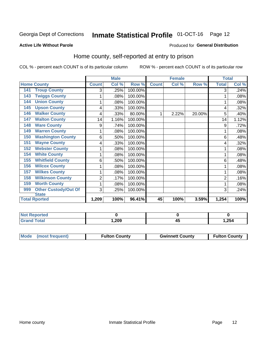## Inmate Statistical Profile 01-OCT-16 Page 12

#### **Active Life Without Parole**

#### **Produced for General Distribution**

## Home county, self-reported at entry to prison

COL % - percent each COUNT is of its particular column

|                                    |              | <b>Male</b> |         |              | <b>Female</b> |        | <b>Total</b> |       |
|------------------------------------|--------------|-------------|---------|--------------|---------------|--------|--------------|-------|
| <b>Home County</b>                 | <b>Count</b> | Col %       | Row %   | <b>Count</b> | Col %         | Row %  | <b>Total</b> | Col % |
| <b>Troup County</b><br>141         | 3            | .25%        | 100.00% |              |               |        | 3            | .24%  |
| <b>Twiggs County</b><br>143        | 1            | .08%        | 100.00% |              |               |        |              | .08%  |
| <b>Union County</b><br>144         | 1            | .08%        | 100.00% |              |               |        |              | .08%  |
| <b>Upson County</b><br>145         | 4            | .33%        | 100.00% |              |               |        | 4            | .32%  |
| <b>Walker County</b><br>146        | 4            | .33%        | 80.00%  |              | 2.22%         | 20.00% | 5            | .40%  |
| <b>Walton County</b><br>147        | 14           | 1.16%       | 100.00% |              |               |        | 14           | 1.12% |
| <b>Ware County</b><br>148          | 9            | .74%        | 100.00% |              |               |        | 9            | .72%  |
| <b>Warren County</b><br>149        | 1            | .08%        | 100.00% |              |               |        |              | .08%  |
| <b>Washington County</b><br>150    | 6            | .50%        | 100.00% |              |               |        | 6            | .48%  |
| <b>Wayne County</b><br>151         | 4            | .33%        | 100.00% |              |               |        | 4            | .32%  |
| <b>Webster County</b><br>152       | 1            | .08%        | 100.00% |              |               |        |              | .08%  |
| <b>White County</b><br>154         | 1            | $.08\%$     | 100.00% |              |               |        |              | .08%  |
| <b>Whitfield County</b><br>155     | 6            | .50%        | 100.00% |              |               |        | 6            | .48%  |
| <b>Wilcox County</b><br>156        |              | .08%        | 100.00% |              |               |        |              | .08%  |
| <b>Wilkes County</b><br>157        | 1            | .08%        | 100.00% |              |               |        |              | .08%  |
| <b>Wilkinson County</b><br>158     | 2            | .17%        | 100.00% |              |               |        | 2            | .16%  |
| <b>Worth County</b><br>159         | 1            | .08%        | 100.00% |              |               |        |              | .08%  |
| <b>Other Custody/Out Of</b><br>999 | 3            | .25%        | 100.00% |              |               |        | 3            | .24%  |
| <b>State</b>                       |              |             |         |              |               |        |              |       |
| <b>Total Rported</b>               | 1,209        | 100%        | 96.41%  | 45           | 100%          | 3.59%  | 1,254        | 100%  |

| <b>Not Reported</b> |      |        |       |
|---------------------|------|--------|-------|
| <b>Grand Total</b>  | ,209 | $\sim$ | 1,254 |

| Mode (most frequent) | <b>Fulton County</b> | <b>Gwinnett County</b> | <b>Fulton County</b> |
|----------------------|----------------------|------------------------|----------------------|
|                      |                      |                        |                      |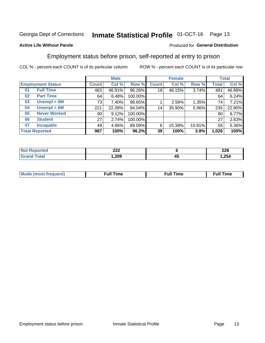#### **Inmate Statistical Profile 01-OCT-16** Page 13

#### **Active Life Without Parole**

#### Produced for General Distribution

### Employment status before prison, self-reported at entry to prison

COL % - percent each COUNT is of its particular column

|                          |                     | <b>Male</b>  |        |         |              | <b>Female</b> |        |              | <b>Total</b> |  |
|--------------------------|---------------------|--------------|--------|---------|--------------|---------------|--------|--------------|--------------|--|
| <b>Employment Status</b> |                     | <b>Count</b> | Col %  | Row %   | <b>Count</b> | Col %         | Row %  | <b>Total</b> | Col %        |  |
| <b>Full Time</b><br>01   |                     | 463          | 46.91% | 96.26%  | 18           | 46.15%        | 3.74%  | 481          | 46.88%       |  |
| <b>Part Time</b><br>02   |                     | 64           | 6.48%  | 100.00% |              |               |        | 64           | 6.24%        |  |
| 03                       | Unempl $<$ 6M       | 73           | 7.40%  | 98.65%  |              | 2.56%         | 1.35%  | 74           | 7.21%        |  |
| 04                       | Unempl > 6M         | 221          | 22.39% | 94.04%  | 14           | 35.90%        | 5.96%  | 235          | 22.90%       |  |
| 05                       | <b>Never Worked</b> | 90           | 9.12%  | 100.00% |              |               |        | 90           | 8.77%        |  |
| <b>Student</b><br>06     |                     | 27           | 2.74%  | 100.00% |              |               |        | 27           | 2.63%        |  |
| 07                       | <b>Incapable</b>    | 49           | 4.96%  | 89.09%  | 6            | 15.38%        | 10.91% | 55           | 5.36%        |  |
| <b>Total Reported</b>    |                     | 987          | 100%   | 96.2%   | 39           | 100%          | 3.8%   | 1,026        | 100%         |  |

| າາາ<br>LLL |    | າາດ<br>LLU<br>$\sim$ |
|------------|----|----------------------|
| ,209       | 4. | 1,254                |

| Mc | ∙u∥<br>----<br>ıme | ίuΙ<br>Πmε |
|----|--------------------|------------|
|    |                    |            |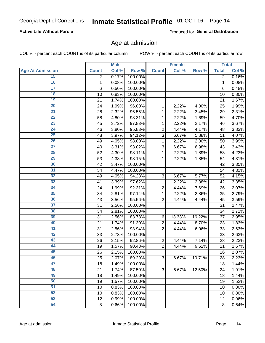#### **Active Life Without Parole**

Produced for General Distribution

### Age at admission

COL % - percent each COUNT is of its particular column

|                         |                | <b>Male</b> |         |                | <b>Female</b> |        |                | <b>Total</b> |
|-------------------------|----------------|-------------|---------|----------------|---------------|--------|----------------|--------------|
| <b>Age At Admission</b> | <b>Count</b>   | Col %       | Row %   | <b>Count</b>   | Col %         | Row %  | <b>Total</b>   | Col %        |
| 15                      | $\overline{2}$ | 0.17%       | 100.00% |                |               |        | $\overline{2}$ | 0.16%        |
| 16                      | 1              | 0.08%       | 100.00% |                |               |        | $\mathbf{1}$   | 0.08%        |
| $\overline{17}$         | 6              | 0.50%       | 100.00% |                |               |        | 6              | 0.48%        |
| 18                      | 10             | 0.83%       | 100.00% |                |               |        | 10             | 0.80%        |
| 19                      | 21             | 1.74%       | 100.00% |                |               |        | 21             | 1.67%        |
| $\overline{20}$         | 24             | 1.99%       | 96.00%  | 1              | 2.22%         | 4.00%  | 25             | 1.99%        |
| 21                      | 28             | 2.32%       | 96.55%  | 1              | 2.22%         | 3.45%  | 29             | 2.31%        |
| $\overline{22}$         | 58             | 4.80%       | 98.31%  | 1              | 2.22%         | 1.69%  | 59             | 4.70%        |
| $\overline{23}$         | 45             | 3.72%       | 97.83%  | 1              | 2.22%         | 2.17%  | 46             | 3.67%        |
| $\overline{24}$         | 46             | 3.80%       | 95.83%  | $\overline{2}$ | 4.44%         | 4.17%  | 48             | 3.83%        |
| $\overline{25}$         | 48             | 3.97%       | 94.12%  | $\overline{3}$ | 6.67%         | 5.88%  | 51             | 4.07%        |
| 26                      | 49             | 4.05%       | 98.00%  | 1              | 2.22%         | 2.00%  | 50             | 3.99%        |
| $\overline{27}$         | 40             | 3.31%       | 93.02%  | 3              | 6.67%         | 6.98%  | 43             | 3.43%        |
| 28                      | 52             | 4.30%       | 98.11%  | 1              | 2.22%         | 1.89%  | 53             | 4.23%        |
| 29                      | 53             | 4.38%       | 98.15%  | 1              | 2.22%         | 1.85%  | 54             | 4.31%        |
| 30                      | 42             | 3.47%       | 100.00% |                |               |        | 42             | 3.35%        |
| 31                      | 54             | 4.47%       | 100.00% |                |               |        | 54             | 4.31%        |
| 32                      | 49             | 4.05%       | 94.23%  | 3              | 6.67%         | 5.77%  | 52             | 4.15%        |
| 33                      | 41             | 3.39%       | 97.62%  | 1              | 2.22%         | 2.38%  | 42             | 3.35%        |
| $\overline{34}$         | 24             | 1.99%       | 92.31%  | $\overline{2}$ | 4.44%         | 7.69%  | 26             | 2.07%        |
| 35                      | 34             | 2.81%       | 97.14%  | 1              | 2.22%         | 2.86%  | 35             | 2.79%        |
| 36                      | 43             | 3.56%       | 95.56%  | $\overline{2}$ | 4.44%         | 4.44%  | 45             | 3.59%        |
| $\overline{37}$         | 31             | 2.56%       | 100.00% |                |               |        | 31             | 2.47%        |
| 38                      | 34             | 2.81%       | 100.00% |                |               |        | 34             | 2.71%        |
| 39                      | 31             | 2.56%       | 83.78%  | $\,6$          | 13.33%        | 16.22% | 37             | 2.95%        |
| 40                      | 21             | 1.74%       | 91.30%  | $\overline{c}$ | 4.44%         | 8.70%  | 23             | 1.83%        |
| 41                      | 31             | 2.56%       | 93.94%  | $\overline{2}$ | 4.44%         | 6.06%  | 33             | 2.63%        |
| 42                      | 33             | 2.73%       | 100.00% |                |               |        | 33             | 2.63%        |
| 43                      | 26             | 2.15%       | 92.86%  | $\overline{2}$ | 4.44%         | 7.14%  | 28             | 2.23%        |
| 44                      | 19             | 1.57%       | 90.48%  | $\overline{2}$ | 4.44%         | 9.52%  | 21             | 1.67%        |
| 45                      | 26             | 2.15%       | 100.00% |                |               |        | 26             | 2.07%        |
| 46                      | 25             | 2.07%       | 89.29%  | 3              | 6.67%         | 10.71% | 28             | 2.23%        |
| 47                      | 18             | 1.49%       | 100.00% |                |               |        | 18             | 1.44%        |
| 48                      | 21             | 1.74%       | 87.50%  | 3              | 6.67%         | 12.50% | 24             | 1.91%        |
| 49                      | 18             | 1.49%       | 100.00% |                |               |        | 18             | 1.44%        |
| 50                      | 19             | 1.57%       | 100.00% |                |               |        | 19             | 1.52%        |
| $\overline{51}$         | 10             | 0.83%       | 100.00% |                |               |        | 10             | 0.80%        |
| $\overline{52}$         | 10             | 0.83%       | 100.00% |                |               |        | 10             | 0.80%        |
| 53                      | 12             | 0.99%       | 100.00% |                |               |        | 12             | 0.96%        |
| 54                      | 8              | 0.66%       | 100.00% |                |               |        | 8              | 0.64%        |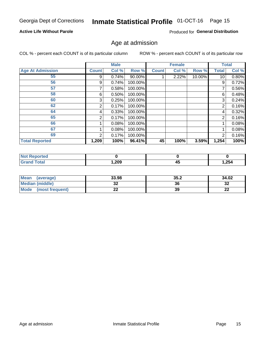## Inmate Statistical Profile 01-OCT-16 Page 15

#### **Active Life Without Parole**

Produced for General Distribution

### Age at admission

COL % - percent each COUNT is of its particular column

|                         |              | <b>Male</b> |           |              | <b>Female</b> |        |                | <b>Total</b> |
|-------------------------|--------------|-------------|-----------|--------------|---------------|--------|----------------|--------------|
| <b>Age At Admission</b> | <b>Count</b> | Col %       | Row %     | <b>Count</b> | Col %         | Row %  | Total          | Col %        |
| 55                      | 9            | 0.74%       | $90.00\%$ |              | 2.22%         | 10.00% | 10             | 0.80%        |
| 56                      | 9            | 0.74%       | 100.00%   |              |               |        | 9              | 0.72%        |
| 57                      |              | 0.58%       | 100.00%   |              |               |        | 7              | 0.56%        |
| 58                      | 6            | 0.50%       | 100.00%   |              |               |        | 6              | 0.48%        |
| 60                      | 3            | 0.25%       | 100.00%   |              |               |        | 3              | 0.24%        |
| 62                      | 2            | 0.17%       | 100.00%   |              |               |        | 2              | 0.16%        |
| 64                      | 4            | 0.33%       | 100.00%   |              |               |        | 4              | 0.32%        |
| 65                      | 2            | 0.17%       | 100.00%   |              |               |        | $\overline{2}$ | 0.16%        |
| 66                      |              | 0.08%       | 100.00%   |              |               |        |                | 0.08%        |
| 67                      |              | 0.08%       | 100.00%   |              |               |        |                | 0.08%        |
| 69                      | 2            | 0.17%       | 100.00%   |              |               |        | 2              | 0.16%        |
| <b>Total Reported</b>   | 1,209        | 100%        | 96.41%    | 45           | 100%          | 3.59%  | 1,254          | 100%         |

| rreol       |      |    |       |
|-------------|------|----|-------|
| <b>otal</b> | ,209 | 42 | 1,254 |

| <b>Mean</b><br>(average)       | 33.98 | 35.2 | 34.02    |
|--------------------------------|-------|------|----------|
| Median (middle)                | JŁ    | 36   | ne<br>ാച |
| <b>Mode</b><br>(most frequent) | ∸∸    | 39   | n,<br>LL |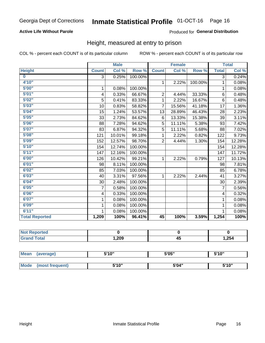#### **Active Life Without Parole**

#### Produced for General Distribution

### Height, measured at entry to prison

COL % - percent each COUNT is of its particular column

|                         |                | <b>Male</b> |         |                | <b>Female</b> |         |                         | <b>Total</b> |
|-------------------------|----------------|-------------|---------|----------------|---------------|---------|-------------------------|--------------|
| <b>Height</b>           | <b>Count</b>   | Col %       | Row %   | <b>Count</b>   | Col %         | Row %   | <b>Total</b>            | Col %        |
| $\overline{\mathbf{0}}$ | $\overline{3}$ | 0.25%       | 100.00% |                |               |         | 3                       | 0.24%        |
| 4'10"                   |                |             |         | $\mathbf{1}$   | 2.22%         | 100.00% | 1                       | 0.08%        |
| 5'00''                  | 1              | 0.08%       | 100.00% |                |               |         | 1                       | 0.08%        |
| 5'01"                   | 4              | 0.33%       | 66.67%  | $\overline{2}$ | 4.44%         | 33.33%  | 6                       | 0.48%        |
| 5'02"                   | 5              | 0.41%       | 83.33%  | 1              | 2.22%         | 16.67%  | 6                       | 0.48%        |
| 5'03''                  | 10             | 0.83%       | 58.82%  | $\overline{7}$ | 15.56%        | 41.18%  | 17                      | 1.36%        |
| 5'04"                   | 15             | 1.24%       | 53.57%  | 13             | 28.89%        | 46.43%  | 28                      | 2.23%        |
| 5'05"                   | 33             | 2.73%       | 84.62%  | 6              | 13.33%        | 15.38%  | 39                      | 3.11%        |
| 5'06''                  | 88             | 7.28%       | 94.62%  | 5              | 11.11%        | 5.38%   | 93                      | 7.42%        |
| 5'07''                  | 83             | 6.87%       | 94.32%  | 5              | 11.11%        | 5.68%   | 88                      | 7.02%        |
| 5'08''                  | 121            | 10.01%      | 99.18%  | 1              | 2.22%         | 0.82%   | 122                     | 9.73%        |
| 5'09''                  | 152            | 12.57%      | 98.70%  | $\overline{2}$ | 4.44%         | 1.30%   | 154                     | 12.28%       |
| 5'10''                  | 154            | 12.74%      | 100.00% |                |               |         | 154                     | 12.28%       |
| 5'11''                  | 147            | 12.16%      | 100.00% |                |               |         | 147                     | 11.72%       |
| 6'00''                  | 126            | 10.42%      | 99.21%  | $\mathbf{1}$   | 2.22%         | 0.79%   | 127                     | 10.13%       |
| 6'01''                  | 98             | 8.11%       | 100.00% |                |               |         | 98                      | 7.81%        |
| 6'02"                   | 85             | 7.03%       | 100.00% |                |               |         | 85                      | 6.78%        |
| 6'03''                  | 40             | 3.31%       | 97.56%  | $\mathbf{1}$   | 2.22%         | 2.44%   | 41                      | 3.27%        |
| 6'04"                   | 30             | 2.48%       | 100.00% |                |               |         | 30                      | 2.39%        |
| 6'05"                   | 7              | 0.58%       | 100.00% |                |               |         | 7                       | 0.56%        |
| 6'06''                  | 4              | 0.33%       | 100.00% |                |               |         | $\overline{\mathbf{4}}$ | 0.32%        |
| 6'07''                  | 1              | 0.08%       | 100.00% |                |               |         | 1                       | 0.08%        |
| 6'09''                  | 1              | 0.08%       | 100.00% |                |               |         | 1                       | 0.08%        |
| 6'11''                  |                | 0.08%       | 100.00% |                |               |         |                         | 0.08%        |
| <b>Total Reported</b>   | 1,209          | 100%        | 96.41%  | 45             | 100%          | 3.59%   | 1,254                   | 100%         |

| <b>NOT</b><br>rtea<br>$\sim$ |        |                |        |
|------------------------------|--------|----------------|--------|
| $\sim$ 10                    | 209, ا | . .<br>д.<br>⊸ | 254, ا |

| Mean        | (average)       | 5'10" | 5'05" | 5'10"<br>ັ |
|-------------|-----------------|-------|-------|------------|
|             |                 |       |       |            |
| <b>Mode</b> | (most frequent) | 5'10" | 5'04" | 5'10"      |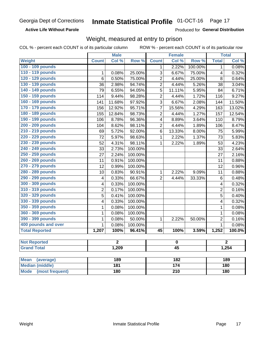**Active Life Without Parole** 

Produced for General Distribution

### Weight, measured at entry to prison

COL % - percent each COUNT is of its particular column

ROW % - percent each COUNT is of its particular row

|                                |                 | <b>Male</b>      |         |                  | <b>Female</b> |         |                | <b>Total</b>   |  |
|--------------------------------|-----------------|------------------|---------|------------------|---------------|---------|----------------|----------------|--|
| <b>Weight</b>                  | <b>Count</b>    | Col %            | Row %   | <b>Count</b>     | Col %         | Row %   | <b>Total</b>   | Col %          |  |
| 100 - 109 pounds               |                 |                  |         | 1                | 2.22%         | 100.00% | $\mathbf 1$    | 0.08%          |  |
| 110 - 119 pounds               | $\mathbf{1}$    | 0.08%            | 25.00%  | 3                | 6.67%         | 75.00%  | 4              | 0.32%          |  |
| 120 - 129 pounds               | $\overline{6}$  | 0.50%            | 75.00%  | $\overline{c}$   | 4.44%         | 25.00%  | 8              | 0.64%          |  |
| 130 - 139 pounds               | 36              | 2.98%            | 94.74%  | $\overline{2}$   | 4.44%         | 5.26%   | 38             | 3.04%          |  |
| 140 - 149 pounds               | $\overline{79}$ | 6.55%            | 94.05%  | $\overline{5}$   | 11.11%        | 5.95%   | 84             | 6.71%          |  |
| 150 - 159 pounds               | 114             | 9.44%            | 98.28%  | $\overline{2}$   | 4.44%         | 1.72%   | 116            | 9.27%          |  |
| 160 - 169 pounds               | 141             | 11.68%           | 97.92%  | $\overline{3}$   | 6.67%         | 2.08%   | 144            | 11.50%         |  |
| 170 - 179 pounds               | 156             | 12.92%           | 95.71%  | $\overline{7}$   | 15.56%        | 4.29%   | 163            | 13.02%         |  |
| 180 - 189 pounds               | 155             | 12.84%           | 98.73%  | $\overline{2}$   | 4.44%         | 1.27%   | 157            | 12.54%         |  |
| 190 - 199 pounds               | 106             | 8.78%            | 96.36%  | 4                | 8.89%         | 3.64%   | 110            | 8.79%          |  |
| 200 - 209 pounds               | 104             | 8.62%            | 98.11%  | $\overline{2}$   | 4.44%         | 1.89%   | 106            | 8.47%          |  |
| 210 - 219 pounds               | 69              | 5.72%            | 92.00%  | 6                | 13.33%        | 8.00%   | 75             | 5.99%          |  |
| 220 - 229 pounds               | 72              | 5.97%            | 98.63%  | $\mathbf{1}$     | 2.22%         | 1.37%   | 73             | 5.83%          |  |
| 230 - 239 pounds               | $\overline{52}$ | 4.31%            | 98.11%  | $\mathbf{1}$     | 2.22%         | 1.89%   | 53             | 4.23%          |  |
| 240 - 249 pounds               | 33              | 2.73%            | 100.00% |                  |               |         | 33             | 2.64%          |  |
| 250 - 259 pounds               | 27              | 2.24%            | 100.00% |                  |               |         | 27             | 2.16%          |  |
| 260 - 269 pounds               | 11              | 0.91%            | 100.00% |                  |               |         | 11             | 0.88%          |  |
| 270 - 279 pounds               | 12              | 0.99%            | 100.00% |                  |               |         | 12             | 0.96%          |  |
| 280 - 289 pounds               | 10              | 0.83%            | 90.91%  | $\mathbf{1}$     | 2.22%         | 9.09%   | 11             | 0.88%          |  |
| 290 - 299 pounds               | 4               | 0.33%            | 66.67%  | $\overline{2}$   | 4.44%         | 33.33%  | 6              | 0.48%          |  |
| 300 - 309 pounds               | 4               | 0.33%            | 100.00% |                  |               |         | 4              | 0.32%          |  |
| 310 - 319 pounds               | $\overline{2}$  | 0.17%            | 100.00% |                  |               |         | $\overline{2}$ | 0.16%          |  |
| 320 - 329 pounds               | 5               | 0.41%            | 100.00% |                  |               |         | 5              | 0.40%          |  |
| 330 - 339 pounds               | 4               | 0.33%            | 100.00% |                  |               |         | 4              | 0.32%          |  |
| 350 - 359 pounds               | 1               | 0.08%            | 100.00% |                  |               |         | $\mathbf{1}$   | 0.08%          |  |
| 360 - 369 pounds               | 1               | 0.08%            | 100.00% |                  |               |         | $\mathbf{1}$   | 0.08%          |  |
| 390 - 399 pounds               | 1               | 0.08%            | 50.00%  | 1                | 2.22%         | 50.00%  | $\overline{2}$ | 0.16%          |  |
| 400 pounds and over            | $\mathbf{1}$    | 0.08%            | 100.00% |                  |               |         | $\mathbf{1}$   | 0.08%          |  |
| <b>Total Reported</b>          | 1,207           | 100%             | 96.41%  | 45               | 100%          | 3.59%   | 1,252          | 100.0%         |  |
| <b>Not Reported</b>            |                 | $\overline{2}$   |         |                  | $\pmb{0}$     |         |                | $\overline{2}$ |  |
| <b>Grand Total</b>             | 1,209           |                  |         | $\overline{45}$  |               |         | 1,254          |                |  |
|                                |                 |                  |         |                  |               |         |                |                |  |
| <b>Mean</b><br>(average)       |                 | 189              |         |                  | 182           |         | 189            |                |  |
| <b>Median (middle)</b>         |                 | $\overline{181}$ |         |                  | 174           |         | 180            |                |  |
| <b>Mode</b><br>(most frequent) |                 | <b>180</b>       |         | $\overline{210}$ |               |         | 180            |                |  |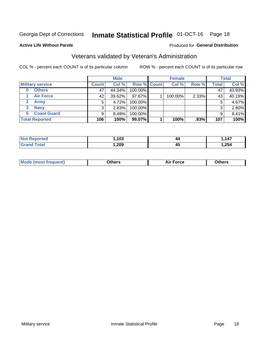## Inmate Statistical Profile 01-OCT-16 Page 18

#### **Active Life Without Parole**

#### Produced for General Distribution

## Veterans validated by Veteran's Administration

COL % - percent each COUNT is of its particular column

|                               |              | <b>Male</b> |                    | <b>Female</b> |       |              | <b>Total</b> |
|-------------------------------|--------------|-------------|--------------------|---------------|-------|--------------|--------------|
| <b>Military service</b>       | <b>Count</b> | Col %       | <b>Row % Count</b> | Col %         | Row % | <b>Total</b> | Col %        |
| <b>Others</b>                 | 47           | 44.34%      | 100.00%            |               |       | 47           | 43.93%       |
| <b>Air Force</b>              | 42           | 39.62%      | 97.67%             | 100.00%       | 2.33% | 43           | 40.19%       |
| $\mathbf{2}^-$<br><b>Army</b> | 5            | 4.72%       | 100.00%            |               |       | 5            | 4.67%        |
| <b>Navy</b><br>3              | 3            | 2.83%       | 100.00%            |               |       | 3            | 2.80%        |
| <b>Coast Guard</b><br>5.      | 9            | 8.49%       | 100.00%            |               |       | 9            | 8.41%        |
| <b>Total Reported</b>         | 106          | 100%        | 99.07%             | 100%          | .93%  | 107          | 100%         |

| тес         | 103  | 44 | 147  |
|-------------|------|----|------|
| <b>Tota</b> | ,209 | 45 | ,254 |

| Mo<br>m | ∖‡h∧rc<br>____ | $-0.002$<br>28 F T<br>UI CE | <b>Others</b><br>____ |
|---------|----------------|-----------------------------|-----------------------|
|         |                |                             |                       |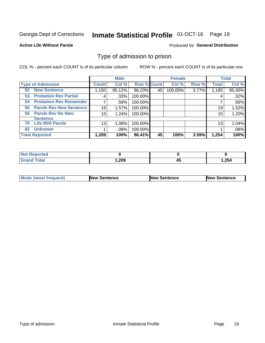## Inmate Statistical Profile 01-OCT-16 Page 19

#### **Active Life Without Parole**

#### Produced for General Distribution

### Type of admission to prison

COL % - percent each COUNT is of its particular column

|                                      |              | <b>Male</b> |                    |    | <b>Female</b> |       |              | <b>Total</b> |
|--------------------------------------|--------------|-------------|--------------------|----|---------------|-------|--------------|--------------|
| <b>Type of Admission</b>             | <b>Count</b> | Col %       | <b>Row % Count</b> |    | Col %         | Row % | <b>Total</b> | Col %        |
| <b>New Sentence</b><br>52            | 1,150        | 95.12%      | 96.23%             | 45 | 100.00%       | 3.77% | 1,195        | 95.30%       |
| <b>Probation Rev Partial</b><br>53   | 4            | .33%        | 100.00%            |    |               |       | 4            | .32%         |
| <b>Probation Rev Remainder</b><br>54 |              | .58%        | 100.00%            |    |               |       |              | .56%         |
| <b>Parole Rev New Sentence</b><br>55 | 19           | 1.57%       | 100.00%            |    |               |       | 19           | 1.52%        |
| <b>Parole Rev No New</b><br>56       | 15           | 1.24%       | 100.00%            |    |               |       | 15           | 1.20%        |
| <b>Sentence</b>                      |              |             |                    |    |               |       |              |              |
| <b>Life W/O Parole</b><br>70         | 13           | 1.08%       | 100.00%            |    |               |       | 13           | 1.04%        |
| <b>Unknown</b><br>82                 |              | .08%        | 100.00%            |    |               |       |              | .08%         |
| <b>Total Reported</b>                | 1,209        | 100%        | 96.41%             | 45 | 100%          | 3.59% | 1,254        | 100%         |

| <b>Not Reported</b> |        |           |       |
|---------------------|--------|-----------|-------|
| <b>Total</b>        | 209, ا | ,,,<br>᠇៶ | 1,254 |

| <b>Mode (most frequent)</b> | <b>New Sentence</b> | <b>New Sentence</b> | <b>New Sentence</b> |
|-----------------------------|---------------------|---------------------|---------------------|
|                             |                     |                     |                     |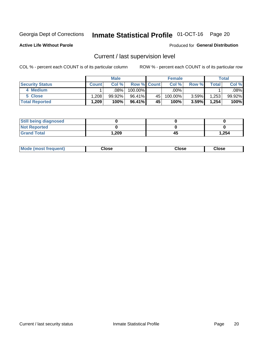## Inmate Statistical Profile 01-OCT-16 Page 20

**Active Life Without Parole** 

#### Produced for General Distribution

## Current / last supervision level

COL % - percent each COUNT is of its particular column

|                        |              | <b>Male</b> |                    |    | <b>Female</b> |       |       | <b>Total</b> |
|------------------------|--------------|-------------|--------------------|----|---------------|-------|-------|--------------|
| <b>Security Status</b> | <b>Count</b> | Col%        | <b>Row % Count</b> |    | Col %         | Row % | Total | Col %        |
| 4 Medium               |              | .08%        | 100.00%            |    | .00%          |       |       | .08%         |
| 5 Close                | .208         | $99.92\%$   | 96.41%             | 45 | 100.00%       | 3.59% | 1,253 | 99.92%       |
| <b>Total Reported</b>  | .209         | 100%        | 96.41%             | 45 | 100%          | 3.59% | 1,254 | 100%         |

| <b>Still being diagnosed</b> |       |    |       |
|------------------------------|-------|----|-------|
| <b>Not Reported</b>          |       |    |       |
| <b>Grand Total</b>           | 1,209 | 45 | 1,254 |

| <b>AhoM</b><br>rreauent) | <b>Close</b> | Close | Close |
|--------------------------|--------------|-------|-------|
|                          |              |       |       |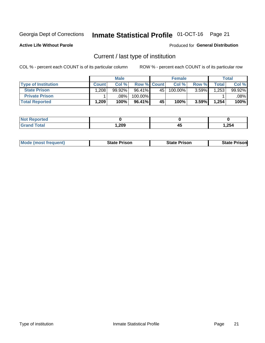## Inmate Statistical Profile 01-OCT-16 Page 21

**Active Life Without Parole** 

#### Produced for General Distribution

## Current / last type of institution

COL % - percent each COUNT is of its particular column

|                            |              | <b>Male</b> |                    |    | <b>Female</b> |       |        | <b>Total</b> |
|----------------------------|--------------|-------------|--------------------|----|---------------|-------|--------|--------------|
| <b>Type of Institution</b> | <b>Count</b> | Col %       | <b>Row % Count</b> |    | Col %         | Row % | Total⊥ | Col %        |
| <b>State Prison</b>        | 1,208        | 99.92%      | 96.41%             | 45 | 100.00%       | 3.59% | .253   | 99.92%       |
| <b>Private Prison</b>      |              | .08%        | 100.00%            |    |               |       |        | .08% l       |
| <b>Total Reported</b>      | 1,209        | 100%        | 96.41%             | 45 | 100%          | 3.59% | 1,254  | 100%         |

| ---<br>τeα  |      |          |       |
|-------------|------|----------|-------|
| <b>otal</b> | ,209 | . .<br>╌ | 1,254 |

| <b>Mode</b><br>: (most frequent) | State Prison | <b>State Prison</b> | sonl<br>State |
|----------------------------------|--------------|---------------------|---------------|
|                                  |              |                     |               |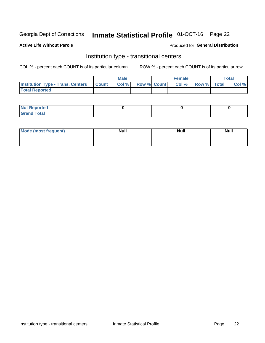## Inmate Statistical Profile 01-OCT-16 Page 22

#### **Active Life Without Parole**

#### Produced for General Distribution

## Institution type - transitional centers

COL % - percent each COUNT is of its particular column

|                                          |              | <b>Male</b> |             | <b>Female</b> |             | <b>Total</b> |
|------------------------------------------|--------------|-------------|-------------|---------------|-------------|--------------|
| <b>Institution Type - Trans. Centers</b> | <b>Count</b> | Col %       | Row % Count | Col %         | Row % Total | Col %        |
| <b>Total Reported</b>                    |              |             |             |               |             |              |

| <b>Reported</b><br><b>NOT</b><br>$\sim$            |  |  |
|----------------------------------------------------|--|--|
| $f$ $f \circ f \circ f$<br>$C = 1$<br><b>TULAI</b> |  |  |

| Mode (most frequent) | <b>Null</b> | <b>Null</b> | <b>Null</b> |
|----------------------|-------------|-------------|-------------|
|                      |             |             |             |
|                      |             |             |             |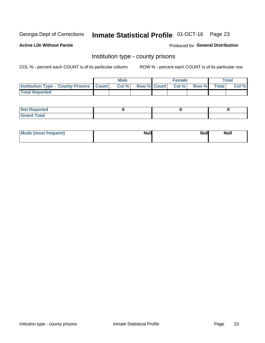## Inmate Statistical Profile 01-OCT-16 Page 23

**Active Life Without Parole** 

Produced for General Distribution

### Institution type - county prisons

COL % - percent each COUNT is of its particular column

|                                                    | <b>Male</b> |       |  | <b>Female</b> |                          |             | <b>Total</b> |       |
|----------------------------------------------------|-------------|-------|--|---------------|--------------------------|-------------|--------------|-------|
| <b>Institution Type - County Prisons   Count  </b> |             | Col % |  |               | <b>Row % Count Col %</b> | Row % Total |              | Col % |
| <b>Total Reported</b>                              |             |       |  |               |                          |             |              |       |

| <b>Not</b><br>: Reported<br> |  |  |
|------------------------------|--|--|
| <b>Total</b><br>---          |  |  |

| Mode (most frequent) | <b>Null</b> | <b>Null</b><br><b>Null</b> |
|----------------------|-------------|----------------------------|
|                      |             |                            |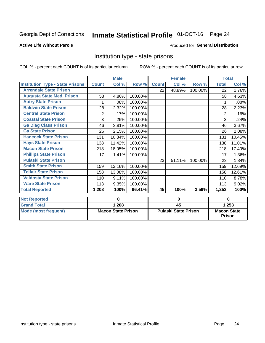## Inmate Statistical Profile 01-OCT-16 Page 24

#### **Active Life Without Parole**

#### Produced for General Distribution

## Institution type - state prisons

COL % - percent each COUNT is of its particular column

ROW % - percent each COUNT is of its particular row

|                                         | <b>Male</b>    |                           |         | <b>Female</b>               |        |         | <b>Total</b>       |        |  |
|-----------------------------------------|----------------|---------------------------|---------|-----------------------------|--------|---------|--------------------|--------|--|
| <b>Institution Type - State Prisons</b> | <b>Count</b>   | $\overline{\text{Col}}$ % | Row %   | <b>Count</b>                | Col %  | Row %   | <b>Total</b>       | Col %  |  |
| <b>Arrendale State Prison</b>           |                |                           |         | 22                          | 48.89% | 100.00% | $\overline{22}$    | 1.76%  |  |
| <b>Augusta State Med. Prison</b>        | 58             | 4.80%                     | 100.00% |                             |        |         | 58                 | 4.63%  |  |
| <b>Autry State Prison</b>               |                | .08%                      | 100.00% |                             |        |         |                    | .08%   |  |
| <b>Baldwin State Prison</b>             | 28             | 2.32%                     | 100.00% |                             |        |         | 28                 | 2.23%  |  |
| <b>Central State Prison</b>             | $\overline{2}$ | .17%                      | 100.00% |                             |        |         | 2                  | .16%   |  |
| <b>Coastal State Prison</b>             | 3              | .25%                      | 100.00% |                             |        |         | 3                  | .24%   |  |
| <b>Ga Diag Class Prison</b>             | 46             | 3.81%                     | 100.00% |                             |        |         | 46                 | 3.67%  |  |
| <b>Ga State Prison</b>                  | 26             | 2.15%                     | 100.00% |                             |        |         | 26                 | 2.08%  |  |
| <b>Hancock State Prison</b>             | 131            | 10.84%                    | 100.00% |                             |        |         | 131                | 10.45% |  |
| <b>Hays State Prison</b>                | 138            | 11.42%                    | 100.00% |                             |        |         | 138                | 11.01% |  |
| <b>Macon State Prison</b>               | 218            | 18.05%                    | 100.00% |                             |        |         | 218                | 17.40% |  |
| <b>Phillips State Prison</b>            | 17             | 1.41%                     | 100.00% |                             |        |         | 17                 | 1.36%  |  |
| <b>Pulaski State Prison</b>             |                |                           |         | 23                          | 51.11% | 100.00% | 23                 | 1.84%  |  |
| <b>Smith State Prison</b>               | 159            | 13.16%                    | 100.00% |                             |        |         | 159                | 12.69% |  |
| <b>Telfair State Prison</b>             | 158            | 13.08%                    | 100.00% |                             |        |         | 158                | 12.61% |  |
| <b>Valdosta State Prison</b>            | 110            | 9.11%                     | 100.00% |                             |        |         | 110                | 8.78%  |  |
| <b>Ware State Prison</b>                | 113            | 9.35%                     | 100.00% |                             |        |         | 113                | 9.02%  |  |
| <b>Total Reported</b>                   | 1,208          | 100%                      | 96.41%  | 45                          | 100%   | 3.59%   | 1,253              | 100%   |  |
|                                         |                |                           |         |                             |        |         |                    |        |  |
| <b>Not Reported</b>                     |                | $\bf{0}$                  |         | $\bf{0}$                    |        |         | $\bf{0}$           |        |  |
| <b>Grand Total</b>                      |                | 1,208                     |         |                             | 45     |         | 1,253              |        |  |
| <b>Mode (most frequent)</b>             |                | <b>Macon State Prison</b> |         | <b>Pulaski State Prison</b> |        |         | <b>Macon State</b> |        |  |

Prison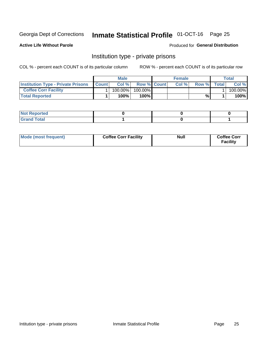## Inmate Statistical Profile 01-OCT-16 Page 25

**Active Life Without Parole** 

Produced for General Distribution

## Institution type - private prisons

COL % - percent each COUNT is of its particular column

|                                           | <b>Male</b>  |         |                    | <b>Female</b> |       |       | Total        |         |
|-------------------------------------------|--------------|---------|--------------------|---------------|-------|-------|--------------|---------|
| <b>Institution Type - Private Prisons</b> | <b>Count</b> | Col%    | <b>Row % Count</b> |               | Col % | Row % | <b>Total</b> | Col %   |
| <b>Coffee Corr Facility</b>               |              | 100.00% | $100.00\%$         |               |       |       |              | 100.00% |
| <b>Total Reported</b>                     |              | $100\%$ | 100%               |               |       | %     |              | 100%    |

| Not Reported |  |  |
|--------------|--|--|
|              |  |  |

| Mode (most frequent) | <b>Coffee Corr Facility</b> | <b>Null</b> | <b>Coffee Corr</b><br><b>Facility</b> |
|----------------------|-----------------------------|-------------|---------------------------------------|
|----------------------|-----------------------------|-------------|---------------------------------------|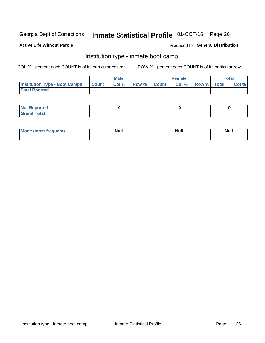## Inmate Statistical Profile 01-OCT-16 Page 26

#### **Active Life Without Parole**

#### Produced for General Distribution

## Institution type - inmate boot camp

COL % - percent each COUNT is of its particular column

|                                      | <b>Male</b>  |       |               |              | <b>Female</b> | <b>Total</b> |  |       |
|--------------------------------------|--------------|-------|---------------|--------------|---------------|--------------|--|-------|
| <b>Institution Type - Boot Camps</b> | <b>Count</b> | Col % | <b>Row %I</b> | <b>Count</b> | Col %         | Row % Total  |  | Col % |
| <b>Total Rported</b>                 |              |       |               |              |               |              |  |       |

| <b>Not Reported</b>            |  |  |
|--------------------------------|--|--|
| <b>Total</b><br>C <sub>r</sub> |  |  |

| Mod<br>uamo | Nul.<br>$- - - - - -$ | <b>Null</b> | <br>uu.<br>------ |
|-------------|-----------------------|-------------|-------------------|
|             |                       |             |                   |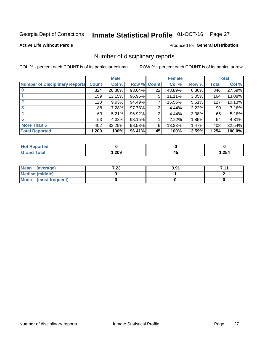## Inmate Statistical Profile 01-OCT-16 Page 27

#### **Active Life Without Parole**

#### Produced for General Distribution

### Number of disciplinary reports

COL % - percent each COUNT is of its particular column

|                                       | <b>Male</b>     |        |        | <b>Female</b> |        |       | <b>Total</b> |        |
|---------------------------------------|-----------------|--------|--------|---------------|--------|-------|--------------|--------|
| <b>Number of Disciplinary Reports</b> | <b>Count</b>    | Col %  | Row %  | <b>Count</b>  | Col %  | Row % | Total        | Col %  |
|                                       | 324             | 26.80% | 93.64% | 22            | 48.89% | 6.36% | 346          | 27.59% |
|                                       | 159             | 13.15% | 96.95% | 5             | 11.11% | 3.05% | 164          | 13.08% |
| $\mathbf{2}$                          | 120             | 9.93%  | 94.49% | ⇁             | 15.56% | 5.51% | 127          | 10.13% |
| 3                                     | 88 <sup>1</sup> | 7.28%  | 97.78% | 2             | 4.44%  | 2.22% | 90           | 7.18%  |
|                                       | 63              | 5.21%  | 96.92% | 2             | 4.44%  | 3.08% | 65           | 5.18%  |
| 5                                     | 53              | 4.38%  | 98.15% |               | 2.22%  | 1.85% | 54           | 4.31%  |
| <b>More Than 5</b>                    | 402             | 33.25% | 98.53% | 6             | 13.33% | 1.47% | 408          | 32.54% |
| <b>Total Reported</b>                 | 1,209           | 100%   | 96.41% | 45            | 100%   | 3.59% | 1,254        | 100.0% |

| NO<br>тео |      |   |        |
|-----------|------|---|--------|
| Гоtal     | ,209 | ᠇ | 254, ا |

| Mean (average)       | 7.23 | 3.91 | 711 |
|----------------------|------|------|-----|
| Median (middle)      |      |      |     |
| Mode (most frequent) |      |      |     |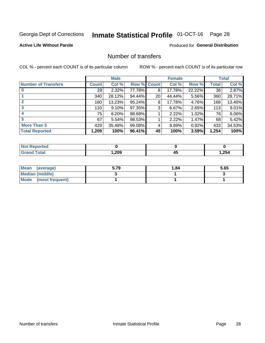## Inmate Statistical Profile 01-OCT-16 Page 28

#### **Active Life Without Parole**

#### **Produced for General Distribution**

## Number of transfers

COL % - percent each COUNT is of its particular column

|                            | <b>Male</b>  |        | <b>Female</b> |    |        | <b>Total</b> |              |        |
|----------------------------|--------------|--------|---------------|----|--------|--------------|--------------|--------|
| <b>Number of Transfers</b> | <b>Count</b> | Col %  | Row % Count   |    | Col %  | Row %        | <b>Total</b> | Col %  |
|                            | 28           | 2.32%  | 77.78%        | 8  | 17.78% | 22.22%       | 36           | 2.87%  |
|                            | 340          | 28.12% | 94.44%        | 20 | 44.44% | 5.56%        | 360          | 28.71% |
| $\mathbf{2}$               | 160          | 13.23% | 95.24%        | 8  | 17.78% | 4.76%        | 168          | 13.40% |
| 3                          | 110          | 9.10%  | 97.35%        | 3  | 6.67%  | 2.65%        | 113          | 9.01%  |
|                            | 75           | 6.20%  | 98.68%        |    | 2.22%  | 1.32%        | 76           | 6.06%  |
| 5                          | 67           | 5.54%  | 98.53%        |    | 2.22%  | 1.47%        | 68           | 5.42%  |
| <b>More Than 5</b>         | 429          | 35.48% | 99.08%        | 4  | 8.89%  | 0.92%        | 433          | 34.53% |
| <b>Total Reported</b>      | 1,209        | 100%   | 96.41%        | 45 | 100%   | 3.59%        | 1,254        | 100%   |

| orted<br>NO  |      |    |      |
|--------------|------|----|------|
| <b>Total</b> | ,209 | -- | ,254 |

| Mean (average)         | 5.79 | 1.84 | 5.65 |
|------------------------|------|------|------|
| <b>Median (middle)</b> |      |      |      |
| Mode (most frequent)   |      |      |      |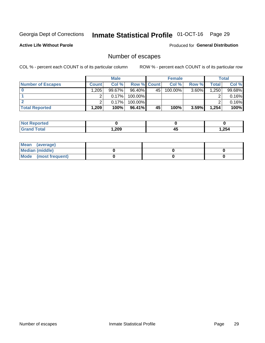## Inmate Statistical Profile 01-OCT-16 Page 29

**Active Life Without Parole** 

Produced for General Distribution

## Number of escapes

COL % - percent each COUNT is of its particular column

|                          | <b>Male</b>  |        |                    | <b>Female</b>   |         |          | Total |        |
|--------------------------|--------------|--------|--------------------|-----------------|---------|----------|-------|--------|
| <b>Number of Escapes</b> | <b>Count</b> | Col %  | <b>Row % Count</b> |                 | Col %   | Row %    | Total | Col %  |
|                          | 1,205        | 99.67% | $96.40\%$          | 45 <sup>1</sup> | 100.00% | $3.60\%$ | 1,250 | 99.68% |
|                          |              | 0.17%  | $100.00\%$         |                 |         |          |       | 0.16%  |
|                          |              | 0.17%  | $100.00\%$         |                 |         |          |       | 0.16%  |
| <b>Total Reported</b>    | $.209^+$     | 100%   | $96.41\%$          | 45              | 100%    | 3.59%    | 1,254 | 100%   |

| <b>Reported</b><br><b>NOT</b> |        |             |       |
|-------------------------------|--------|-------------|-------|
| <b>Total</b>                  | 209, ، | . .<br>$-1$ | 1,254 |

| Mean (average)       |  |  |
|----------------------|--|--|
| Median (middle)      |  |  |
| Mode (most frequent) |  |  |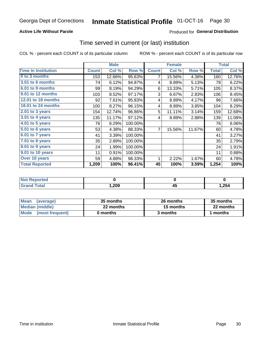#### **Active Life Without Parole**

### Produced for General Distribution

### Time served in current (or last) institution

COL % - percent each COUNT is of its particular column

|                            | <b>Male</b>  |        | <b>Female</b> |              |        | <b>Total</b> |              |        |
|----------------------------|--------------|--------|---------------|--------------|--------|--------------|--------------|--------|
| <b>Time In Institution</b> | <b>Count</b> | Col %  | Row %         | <b>Count</b> | Col %  | Row %        | <b>Total</b> | Col %  |
| 0 to 3 months              | 153          | 12.66% | 95.63%        | 7            | 15.56% | 4.38%        | 160          | 12.76% |
| <b>3.01 to 6 months</b>    | 74           | 6.12%  | 94.87%        | 4            | 8.89%  | 5.13%        | 78           | 6.22%  |
| 6.01 to 9 months           | 99           | 8.19%  | 94.29%        | 6            | 13.33% | 5.71%        | 105          | 8.37%  |
| 9.01 to 12 months          | 103          | 8.52%  | 97.17%        | 3            | 6.67%  | 2.83%        | 106          | 8.45%  |
| 12.01 to 18 months         | 92           | 7.61%  | 95.83%        | 4            | 8.89%  | 4.17%        | 96           | 7.66%  |
| <b>18.01 to 24 months</b>  | 100          | 8.27%  | 96.15%        | 4            | 8.89%  | 3.85%        | 104          | 8.29%  |
| $2.01$ to 3 years          | 154          | 12.74% | 96.86%        | 5            | 11.11% | 3.14%        | 159          | 12.68% |
| $3.01$ to 4 years          | 135          | 11.17% | 97.12%        | 4            | 8.89%  | 2.88%        | 139          | 11.08% |
| $4.01$ to 5 years          | 76           | 6.29%  | 100.00%       |              |        |              | 76           | 6.06%  |
| 5.01 to 6 years            | 53           | 4.38%  | 88.33%        | 7            | 15.56% | 11.67%       | 60           | 4.78%  |
| 6.01 to 7 years            | 41           | 3.39%  | 100.00%       |              |        |              | 41           | 3.27%  |
| 7.01 to 8 years            | 35           | 2.89%  | 100.00%       |              |        |              | 35           | 2.79%  |
| 8.01 to 9 years            | 24           | 1.99%  | 100.00%       |              |        |              | 24           | 1.91%  |
| 9.01 to 10 years           | 11           | 0.91%  | 100.00%       |              |        |              | 11           | 0.88%  |
| Over 10 years              | 59           | 4.88%  | 98.33%        | 1            | 2.22%  | 1.67%        | 60           | 4.78%  |
| <b>Total Reported</b>      | 1,209        | 100%   | 96.41%        | 45           | 100%   | 3.59%        | 1,254        | 100%   |

| <b>Reported</b><br>NOT. |      |                 |       |
|-------------------------|------|-----------------|-------|
| $f \circ f \circ f$     | ,209 | --<br>л і<br>≖∾ | 1,254 |

| <b>Mean</b><br>(average) | 35 months | 26 months | 35 months |
|--------------------------|-----------|-----------|-----------|
| Median (middle)          | 22 months | 15 months | 22 months |
| Mode (most frequent)     | 0 months  | 3 months  | 1 months  |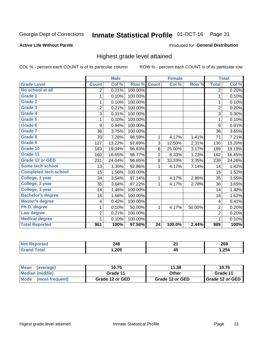#### **Inmate Statistical Profile 01-OCT-16** Page 31

#### **Active Life Without Parole**

#### Produced for General Distribution

### Highest grade level attained

COL % - percent each COUNT is of its particular column

|                              |                          | <b>Male</b> |         |                 | <b>Female</b> |        |                | <b>Total</b> |
|------------------------------|--------------------------|-------------|---------|-----------------|---------------|--------|----------------|--------------|
| <b>Grade Level</b>           | <b>Count</b>             | Col %       | Row %   | <b>Count</b>    | Col %         | Row %  | <b>Total</b>   | Col %        |
| No school at all             | $\overline{2}$           | 0.21%       | 100.00% |                 |               |        | $\overline{2}$ | 0.20%        |
| Grade 1                      | 1                        | 0.10%       | 100.00% |                 |               |        | 1              | 0.10%        |
| <b>Grade 2</b>               | 1                        | 0.10%       | 100.00% |                 |               |        | 1              | 0.10%        |
| Grade 3                      | $\overline{2}$           | 0.21%       | 100.00% |                 |               |        | $\overline{2}$ | 0.20%        |
| Grade 4                      | 3                        | 0.31%       | 100.00% |                 |               |        | 3              | 0.30%        |
| <b>Grade 5</b>               | 1                        | 0.10%       | 100.00% |                 |               |        | 1              | 0.10%        |
| <b>Grade 6</b>               | 9                        | 0.94%       | 100.00% |                 |               |        | 9              | 0.91%        |
| Grade 7                      | 36                       | 3.75%       | 100.00% |                 |               |        | 36             | 3.65%        |
| Grade 8                      | 70                       | 7.28%       | 98.59%  | 1               | 4.17%         | 1.41%  | 71             | 7.21%        |
| Grade 9                      | 127                      | 13.22%      | 97.69%  | 3               | 12.50%        | 2.31%  | 130            | 13.20%       |
| Grade 10                     | 183                      | 19.04%      | 96.83%  | 6               | 25.00%        | 3.17%  | 189            | 19.19%       |
| Grade 11                     | 160                      | 16.65%      | 98.77%  | $\overline{2}$  | 8.33%         | 1.23%  | 162            | 16.45%       |
| <b>Grade 12 or GED</b>       | 231                      | 24.04%      | 96.65%  | 8               | 33.33%        | 3.35%  | 239            | 24.26%       |
| Some tech school             | 13                       | 1.35%       | 92.86%  | 1               | 4.17%         | 7.14%  | 14             | 1.42%        |
| <b>Completed tech school</b> | 15                       | 1.56%       | 100.00% |                 |               |        | 15             | 1.52%        |
| College, 1 year              | 34                       | 3.54%       | 97.14%  | 1               | 4.17%         | 2.86%  | 35             | 3.55%        |
| College, 2 year              | 35                       | 3.64%       | 97.22%  | 1               | 4.17%         | 2.78%  | 36             | 3.65%        |
| College, 3 year              | 14                       | 1.46%       | 100.00% |                 |               |        | 14             | 1.42%        |
| <b>Bachelor's degree</b>     | 16                       | 1.66%       | 100.00% |                 |               |        | 16             | 1.62%        |
| <b>Master's degree</b>       | $\overline{\mathcal{A}}$ | 0.42%       | 100.00% |                 |               |        | 4              | 0.41%        |
| Ph.D. degree                 | 1                        | 0.10%       | 50.00%  | 1               | 4.17%         | 50.00% | $\overline{c}$ | 0.20%        |
| Law degree                   | 2                        | 0.21%       | 100.00% |                 |               |        | $\overline{2}$ | 0.20%        |
| <b>Medical degree</b>        | 1                        | 0.10%       | 100.00% |                 |               |        | 1              | 0.10%        |
| <b>Total Reported</b>        | 961                      | 100%        | 97.56%  | $\overline{24}$ | 100.0%        | 2.44%  | 985            | 100%         |

| rreo | 248<br>$\sim$ | ົ              | 269   |
|------|---------------|----------------|-------|
|      | ,209          | . .<br>л.<br>∼ | 1,254 |

| <b>Mean</b><br>(average) | 10.75           | 11.38           | 10.76             |
|--------------------------|-----------------|-----------------|-------------------|
| Median (middle)          | Grade 11        | Other           | Grade 11          |
| Mode<br>(most frequent)  | Grade 12 or GED | Grade 12 or GED | I Grade 12 or GED |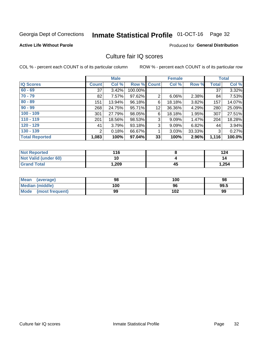## Inmate Statistical Profile 01-OCT-16 Page 32

#### **Active Life Without Parole**

#### Produced for General Distribution

## Culture fair IQ scores

COL % - percent each COUNT is of its particular column

|                       |              | <b>Male</b> |             |                | <b>Female</b> |        |              | <b>Total</b> |
|-----------------------|--------------|-------------|-------------|----------------|---------------|--------|--------------|--------------|
| <b>IQ Scores</b>      | <b>Count</b> | Col %       | Row % Count |                | Col %         | Row %  | <b>Total</b> | Col %        |
| $60 - 69$             | 37           | 3.42%       | 100.00%     |                |               |        | 37           | 3.32%        |
| $70 - 79$             | 82           | 7.57%       | 97.62%      | $\overline{2}$ | 6.06%         | 2.38%  | 84           | 7.53%        |
| $80 - 89$             | 151          | 13.94%      | 96.18%      | 6              | 18.18%        | 3.82%  | 157          | 14.07%       |
| $90 - 99$             | 268          | 24.75%      | 95.71%      | 12             | 36.36%        | 4.29%  | 280          | 25.09%       |
| $100 - 109$           | 301          | 27.79%      | 98.05%      | 6              | 18.18%        | 1.95%  | 307          | 27.51%       |
| $110 - 119$           | 201          | 18.56%      | 98.53%      | 3              | 9.09%         | 1.47%  | 204          | 18.28%       |
| $120 - 129$           | 41           | 3.79%       | 93.18%      | 3              | 9.09%         | 6.82%  | 44           | 3.94%        |
| $130 - 139$           | 2            | 0.18%       | 66.67%      | 4              | 3.03%         | 33.33% | 3            | 0.27%        |
| <b>Total Reported</b> | 1,083        | 100%        | 97.04%      | 33             | 100%          | 2.96%  | 1,116        | 100.0%       |

| <b>Not Reported</b>  | 116  |    | 124   |
|----------------------|------|----|-------|
| Not Valid (under 60) | 10   |    | 14    |
| <b>Grand Total</b>   | .209 | 45 | 1,254 |

| <b>Mean</b><br>(average) | 98  | 100 | 98   |
|--------------------------|-----|-----|------|
| Median (middle)          | 100 | 96  | 99.5 |
| Mode (most frequent)     | 99  | 102 | 99   |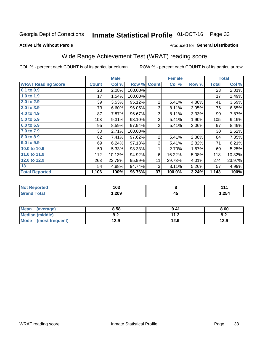#### **Inmate Statistical Profile 01-OCT-16** Page 33

#### **Active Life Without Parole**

#### Produced for General Distribution

## Wide Range Achievement Test (WRAT) reading score

COL % - percent each COUNT is of its particular column

|                           | <b>Male</b>  |        |         |                | <b>Female</b> | <b>Total</b> |              |        |
|---------------------------|--------------|--------|---------|----------------|---------------|--------------|--------------|--------|
| <b>WRAT Reading Score</b> | <b>Count</b> | Col %  | Row %   | <b>Count</b>   | Col %         | Row %        | <b>Total</b> | Col %  |
| $0.1$ to $0.9$            | 23           | 2.08%  | 100.00% |                |               |              | 23           | 2.01%  |
| 1.0 to 1.9                | 17           | 1.54%  | 100.00% |                |               |              | 17           | 1.49%  |
| 2.0 to 2.9                | 39           | 3.53%  | 95.12%  | $\overline{2}$ | 5.41%         | 4.88%        | 41           | 3.59%  |
| 3.0 to 3.9                | 73           | 6.60%  | 96.05%  | 3              | 8.11%         | 3.95%        | 76           | 6.65%  |
| 4.0 to 4.9                | 87           | 7.87%  | 96.67%  | 3              | 8.11%         | 3.33%        | 90           | 7.87%  |
| 5.0 to 5.9                | 103          | 9.31%  | 98.10%  | $\overline{2}$ | 5.41%         | 1.90%        | 105          | 9.19%  |
| 6.0 to 6.9                | 95           | 8.59%  | 97.94%  | $\overline{2}$ | 5.41%         | 2.06%        | 97           | 8.49%  |
| 7.0 to 7.9                | 30           | 2.71%  | 100.00% |                |               |              | 30           | 2.62%  |
| 8.0 to 8.9                | 82           | 7.41%  | 97.62%  | $\overline{2}$ | 5.41%         | 2.38%        | 84           | 7.35%  |
| 9.0 to 9.9                | 69           | 6.24%  | 97.18%  | $\overline{2}$ | 5.41%         | 2.82%        | 71           | 6.21%  |
| 10.0 to 10.9              | 59           | 5.33%  | 98.33%  | 1              | 2.70%         | 1.67%        | 60           | 5.25%  |
| 11.0 to 11.9              | 112          | 10.13% | 94.92%  | 6              | 16.22%        | 5.08%        | 118          | 10.32% |
| 12.0 to 12.9              | 263          | 23.78% | 95.99%  | 11             | 29.73%        | 4.01%        | 274          | 23.97% |
| 13                        | 54           | 4.88%  | 94.74%  | 3              | 8.11%         | 5.26%        | 57           | 4.99%  |
| <b>Total Reported</b>     | 1,106        | 100%   | 96.76%  | 37             | 100.0%        | 3.24%        | 1,143        | 100%   |

| <b>Not</b><br><b>Reported</b> | 103    |          | I 4 + |
|-------------------------------|--------|----------|-------|
| <b>otal</b>                   | 209, ا | ль<br>יי | 1,254 |

| Mean<br>(average)    | 8.58       | 9.41          | 8.60 |
|----------------------|------------|---------------|------|
| Median (middle)      | י ה<br>Y.Z | 11 つ<br>. . Z | 9.2  |
| Mode (most frequent) | 12.9       | 12.9          | 12.9 |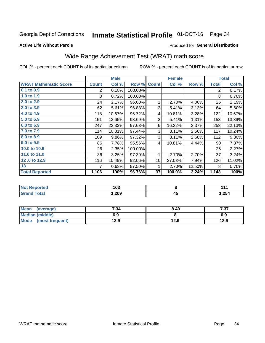#### **Inmate Statistical Profile 01-OCT-16** Page 34

#### **Active Life Without Parole**

#### Produced for General Distribution

## Wide Range Achievement Test (WRAT) math score

COL % - percent each COUNT is of its particular column

|                              |              | <b>Male</b> |         |                 | <b>Female</b> |        |              | <b>Total</b> |
|------------------------------|--------------|-------------|---------|-----------------|---------------|--------|--------------|--------------|
| <b>WRAT Mathematic Score</b> | <b>Count</b> | Col %       | Row %   | <b>Count</b>    | Col %         | Row %  | <b>Total</b> | Col %        |
| $0.1$ to $0.9$               | 2            | 0.18%       | 100.00% |                 |               |        | 2            | 0.17%        |
| 1.0 to 1.9                   | 8            | 0.72%       | 100.00% |                 |               |        | 8            | 0.70%        |
| 2.0 to 2.9                   | 24           | 2.17%       | 96.00%  | 1               | 2.70%         | 4.00%  | 25           | 2.19%        |
| 3.0 to 3.9                   | 62           | 5.61%       | 96.88%  | $\overline{2}$  | 5.41%         | 3.13%  | 64           | 5.60%        |
| 4.0 to 4.9                   | 118          | 10.67%      | 96.72%  | 4               | 10.81%        | 3.28%  | 122          | 10.67%       |
| 5.0 to 5.9                   | 151          | 13.65%      | 98.69%  | $\overline{2}$  | 5.41%         | 1.31%  | 153          | 13.39%       |
| 6.0 to 6.9                   | 247          | 22.33%      | 97.63%  | 6               | 16.22%        | 2.37%  | 253          | 22.13%       |
| 7.0 to 7.9                   | 114          | 10.31%      | 97.44%  | 3               | 8.11%         | 2.56%  | 117          | 10.24%       |
| 8.0 to 8.9                   | 109          | 9.86%       | 97.32%  | 3               | 8.11%         | 2.68%  | 112          | 9.80%        |
| 9.0 to 9.9                   | 86           | 7.78%       | 95.56%  | 4               | 10.81%        | 4.44%  | 90           | 7.87%        |
| 10.0 to 10.9                 | 26           | 2.35%       | 100.00% |                 |               |        | 26           | 2.27%        |
| 11.0 to 11.9                 | 36           | 3.25%       | 97.30%  | 1               | 2.70%         | 2.70%  | 37           | 3.24%        |
| 12.0 to 12.9                 | 116          | 10.49%      | 92.06%  | 10 <sup>1</sup> | 27.03%        | 7.94%  | 126          | 11.02%       |
| 13                           | 7            | 0.63%       | 87.50%  | 1               | 2.70%         | 12.50% | 8            | 0.70%        |
| <b>Total Reported</b>        | 1,106        | 100%        | 96.76%  | 37              | 100.0%        | 3.24%  | 1,143        | 100%         |

| <b>orteg</b><br>NOT I<br>$\sim$    | 103  |            | 44 A  |
|------------------------------------|------|------------|-------|
| $f \wedge f \wedge f'$<br>$\sim$ . | ,209 | AF.<br>- 7 | 1,254 |

| Mean<br>(average)    | 7.34 | 8.49 | 7.37 |
|----------------------|------|------|------|
| Median (middle)      | 6.9  |      | 6.9  |
| Mode (most frequent) | 12.9 | 12.9 | 12.9 |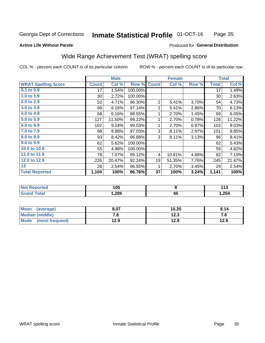#### **Inmate Statistical Profile 01-OCT-16** Page 35

#### **Active Life Without Parole**

#### Produced for General Distribution

## Wide Range Achievement Test (WRAT) spelling score

COL % - percent each COUNT is of its particular column

|                            |              | <b>Male</b> |         |                | <b>Female</b> |       |              | <b>Total</b> |
|----------------------------|--------------|-------------|---------|----------------|---------------|-------|--------------|--------------|
| <b>WRAT Spelling Score</b> | <b>Count</b> | Col %       | Row %   | <b>Count</b>   | Col %         | Row % | <b>Total</b> | Col %        |
| $0.1$ to $0.9$             | 17           | 1.54%       | 100.00% |                |               |       | 17           | 1.49%        |
| 1.0 to 1.9                 | $30$         | 2.72%       | 100.00% |                |               |       | 30           | 2.63%        |
| 2.0 to 2.9                 | 52           | 4.71%       | 96.30%  | $\overline{2}$ | 5.41%         | 3.70% | 54           | 4.73%        |
| 3.0 to 3.9                 | 68           | 6.16%       | 97.14%  | $\overline{2}$ | 5.41%         | 2.86% | 70           | 6.13%        |
| 4.0 to 4.9                 | 68           | 6.16%       | 98.55%  | 1              | 2.70%         | 1.45% | 69           | 6.05%        |
| 5.0 to 5.9                 | 127          | 11.50%      | 99.22%  | 1              | 2.70%         | 0.78% | 128          | 11.22%       |
| 6.0 to 6.9                 | 102          | 9.24%       | 99.03%  | 1              | 2.70%         | 0.97% | 103          | 9.03%        |
| 7.0 to 7.9                 | 98           | 8.88%       | 97.03%  | 3              | 8.11%         | 2.97% | 101          | 8.85%        |
| 8.0 to 8.9                 | 93           | 8.42%       | 96.88%  | 3              | 8.11%         | 3.13% | 96           | 8.41%        |
| 9.0 to 9.9                 | 62           | 5.62%       | 100.00% |                |               |       | 62           | 5.43%        |
| 10.0 to 10.9               | 55           | 4.98%       | 100.00% |                |               |       | 55           | 4.82%        |
| 11.0 to 11.9               | 78           | 7.07%       | 95.12%  | 4              | 10.81%        | 4.88% | 82           | 7.19%        |
| 12.0 to 12.9               | 226          | 20.47%      | 92.24%  | 19             | 51.35%        | 7.76% | 245          | 21.47%       |
| 13                         | 28           | 2.54%       | 96.55%  | 1              | 2.70%         | 3.45% | 29           | 2.54%        |
| <b>Total Reported</b>      | 1,104        | 100%        | 96.76%  | 37             | 100%          | 3.24% | 1,141        | 100%         |
|                            |              |             |         |                |               |       |              |              |

| <b>Not Reported</b>    | 105  |          | 442<br>. |
|------------------------|------|----------|----------|
| <b>Total</b><br>'Grand | ,209 | ΛI<br>᠇ᡂ | 1,254    |

| <b>Mean</b><br>(average) | 8.07 | 10.20 | 8.14 |
|--------------------------|------|-------|------|
| Median (middle)          | . о  | 12.3  | 7. O |
| Mode<br>(most frequent)  | 12.9 | 12.9  | 12.9 |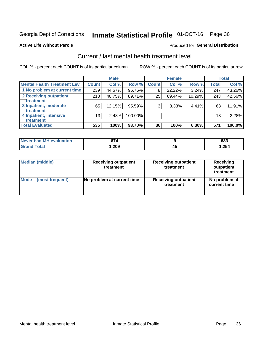## Inmate Statistical Profile 01-OCT-16 Page 36

#### **Active Life Without Parole**

#### Produced for General Distribution

## Current / last mental health treatment level

COL % - percent each COUNT is of its particular column

|                                    |              | <b>Male</b> |         |              | <b>Female</b> |        |                 | <b>Total</b> |
|------------------------------------|--------------|-------------|---------|--------------|---------------|--------|-----------------|--------------|
| <b>Mental Health Treatment Lev</b> | <b>Count</b> | Col%        | Row %   | <b>Count</b> | Col %         | Row %  | Total           | Col %        |
| 1 No problem at current time       | 239          | 44.67%      | 96.76%  | 8            | 22.22%        | 3.24%  | 247             | 43.26%       |
| 2 Receiving outpatient             | 218          | 40.75%      | 89.71%  | 25           | 69.44%        | 10.29% | 243             | 42.56%       |
| <b>Treatment</b>                   |              |             |         |              |               |        |                 |              |
| 3 Inpatient, moderate              | 65           | 12.15%      | 95.59%  | 3            | 8.33%         | 4.41%  | 68              | 11.91%       |
| Treatment                          |              |             |         |              |               |        |                 |              |
| 4 Inpatient, intensive             | 13           | 2.43%       | 100.00% |              |               |        | 13 <sub>1</sub> | 2.28%        |
| <b>Treatment</b>                   |              |             |         |              |               |        |                 |              |
| <b>Total Evaluated</b>             | 535          | 100%        | 93.70%  | 36           | 100%          | 6.30%  | 571             | 100.0%       |

| Never had MH evaluation      | 674   |    | 683  |
|------------------------------|-------|----|------|
| <b>Total</b><br><b>Grand</b> | 1,209 | ᠇᠊ | .254 |

| <b>Median (middle)</b> | <b>Receiving outpatient</b><br>treatment | <b>Receiving outpatient</b><br>treatment | <b>Receiving</b><br>outpatient<br>treatment |  |  |
|------------------------|------------------------------------------|------------------------------------------|---------------------------------------------|--|--|
| <b>Mode</b>            | No problem at current time               | <b>Receiving outpatient</b>              | No problem at                               |  |  |
| (most frequent)        |                                          | treatment                                | current time                                |  |  |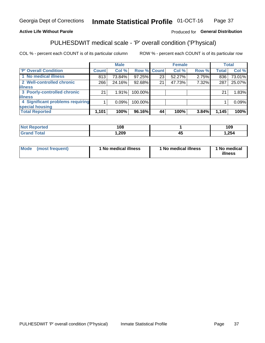#### **Inmate Statistical Profile 01-OCT-16** Page 37

#### **Active Life Without Parole**

#### Produced for General Distribution

## PULHESDWIT medical scale - 'P' overall condition ('P'hysical)

COL % - percent each COUNT is of its particular column

|                                  |         | <b>Male</b> |             |    | <b>Female</b> |       |              | <b>Total</b> |
|----------------------------------|---------|-------------|-------------|----|---------------|-------|--------------|--------------|
| 'P' Overall Condition            | Count l | Col %       | Row % Count |    | Col %         | Row % | <b>Total</b> | Col %        |
| 1 No medical illness             | 813     | 73.84%      | 97.25%      | 23 | 52.27%        | 2.75% | 836          | 73.01%       |
| 2 Well-controlled chronic        | 266     | 24.16%      | 92.68%      | 21 | 47.73%        | 7.32% | 287          | 25.07%       |
| <b>illness</b>                   |         |             |             |    |               |       |              |              |
| 3 Poorly-controlled chronic      | 21      | 1.91%       | 100.00%     |    |               |       | 21           | 1.83%        |
| <b>illness</b>                   |         |             |             |    |               |       |              |              |
| 4 Significant problems requiring |         | 0.09%       | 100.00%     |    |               |       |              | 0.09%        |
| special housing                  |         |             |             |    |               |       |              |              |
| <b>Total Reported</b>            | 1,101   | 100%        | 96.16%      | 44 | 100%          | 3.84% | 1,145        | 100%         |

|   | 108  |                    | 109  |
|---|------|--------------------|------|
| . | ,209 | $\mathbf{r}$<br>᠇៶ | ,254 |

| <b>Mode</b> | (most frequent) | ' No medical illness | 1 No medical illness | 1 No medical<br>illness |
|-------------|-----------------|----------------------|----------------------|-------------------------|
|-------------|-----------------|----------------------|----------------------|-------------------------|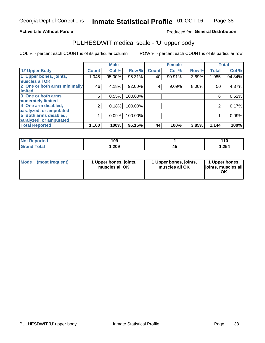#### **Active Life Without Parole**

### Produced for General Distribution

## PULHESDWIT medical scale - 'U' upper body

COL % - percent each COUNT is of its particular column

|                              |               | <b>Male</b> |         |              | <b>Female</b> |       |              | <b>Total</b> |
|------------------------------|---------------|-------------|---------|--------------|---------------|-------|--------------|--------------|
| <b>U' Upper Body</b>         | <b>Count!</b> | Col %       | Row %   | <b>Count</b> | Col %         | Row % | <b>Total</b> | Col %        |
| 1 Upper bones, joints,       | 1,045         | 95.00%      | 96.31%  | 40           | 90.91%        | 3.69% | 1,085        | 94.84%       |
| muscles all OK               |               |             |         |              |               |       |              |              |
| 2 One or both arms minimally | 46            | 4.18%       | 92.00%  | 4            | 9.09%         | 8.00% | 50           | 4.37%        |
| limited                      |               |             |         |              |               |       |              |              |
| 3 One or both arms           | 6             | 0.55%       | 100.00% |              |               |       | 6            | 0.52%        |
| <b>moderately limited</b>    |               |             |         |              |               |       |              |              |
| 4 One arm disabled,          | 2             | 0.18%       | 100.00% |              |               |       | 2            | 0.17%        |
| paralyzed, or amputated      |               |             |         |              |               |       |              |              |
| 5 Both arms disabled,        |               | 0.09%       | 100.00% |              |               |       |              | 0.09%        |
| paralyzed, or amputated      |               |             |         |              |               |       |              |              |
| <b>Total Reported</b>        | 1,100         | 100%        | 96.15%  | 44           | 100%          | 3.85% | 1,144        | 100%         |

| <b>Not Reported</b> | 109    |    | 110   |
|---------------------|--------|----|-------|
| <b>Grand Total</b>  | 209, ا | ÷. | 1,254 |

| Mode (most frequent) | 1 Upper bones, joints,<br>muscles all OK | 1 Upper bones, joints,<br>muscles all OK | 1 Upper bones,<br>joints, muscles all<br>ΟK |
|----------------------|------------------------------------------|------------------------------------------|---------------------------------------------|
|----------------------|------------------------------------------|------------------------------------------|---------------------------------------------|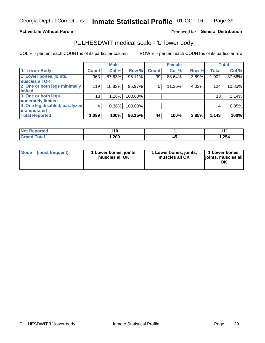#### **Active Life Without Parole**

#### Produced for General Distribution

## PULHESDWIT medical scale - 'L' lower body

COL % - percent each COUNT is of its particular column

|                                     | <b>Male</b> |              | <b>Female</b>                                             |       |              | <b>Total</b> |
|-------------------------------------|-------------|--------------|-----------------------------------------------------------|-------|--------------|--------------|
| Count!                              | Col %       | <b>Count</b> | Col %                                                     | Row % | <b>Total</b> | Col %        |
| 963                                 | 87.63%      | 39           | 88.64%                                                    | 3.89% | 1,002        | 87.66%       |
|                                     |             |              |                                                           |       |              |              |
| 2 One or both legs minimally<br>119 | 10.83%      | 5            | 11.36%                                                    | 4.03% | 124          | 10.85%       |
|                                     |             |              |                                                           |       |              |              |
| 13 <sub>1</sub>                     | 1.18%       |              |                                                           |       | 13           | 1.14%        |
|                                     |             |              |                                                           |       |              |              |
| 4 One leg disabled, paralyzed,<br>4 | 0.36%       |              |                                                           |       | 4            | 0.35%        |
|                                     |             |              |                                                           |       |              |              |
| 1,099                               | 100%        | 44           | 100%                                                      | 3.85% | 1,143        | 100%         |
|                                     |             |              | Row %<br>96.11%<br>95.97%<br>100.00%<br>100.00%<br>96.15% |       |              |              |

| <b>Not Reported</b>   | .<br>. . u |   | 444   |
|-----------------------|------------|---|-------|
| <b>Total</b><br>Grand | ,209       | ᠇ | 1,254 |

| Mode | (most frequent) | 1 Lower bones, joints,<br>muscles all OK | 1 Lower bones, joints,<br>muscles all OK | 1 Lower bones,<br>ljoints, muscles all<br>OK |
|------|-----------------|------------------------------------------|------------------------------------------|----------------------------------------------|
|------|-----------------|------------------------------------------|------------------------------------------|----------------------------------------------|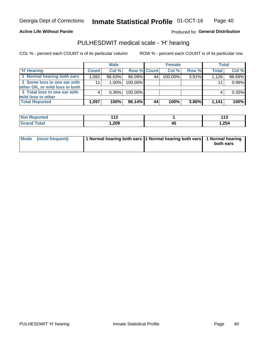#### **Active Life Without Parole**

Produced for General Distribution

### PULHESDWIT medical scale - 'H' hearing

COL % - percent each COUNT is of its particular column

|                                                               |              | <b>Male</b> |             |    | <b>Female</b> |       | <b>Total</b> |          |
|---------------------------------------------------------------|--------------|-------------|-------------|----|---------------|-------|--------------|----------|
| <b>H'</b> Hearing                                             | <b>Count</b> | Col %       | Row % Count |    | Col%          | Row % | <b>Total</b> | Col %    |
| 1 Normal hearing both ears                                    | 1,082        | 98.63%      | 96.09%      | 44 | 100.00%       | 3.91% | 1.126        | 98.69%   |
| 2 Some loss in one ear with<br>other OK, or mild loss in both | 11           | $1.00\%$    | 100.00%     |    |               |       | 11           | 0.96%    |
| 3 Total loss in one ear with<br>mild loss in other            |              | $0.36\%$    | 100.00%     |    |               |       |              | $0.35\%$ |
| <b>Total Reported</b>                                         | 1,097        | 100%        | 96.14%      | 44 | 100%          | 3.86% | 1,141        | 100%     |

| <b>Not</b><br>Reported | $\overline{A}$<br>$\mathbf{1}$ | 442<br>∪ו<br>__ |
|------------------------|--------------------------------|-----------------|
| <b>Total</b>           | 1,209                          | 1,254           |

| Mode (most frequent) | 1 Normal hearing both ears 1 Normal hearing both ears 1 Normal hearing |           |
|----------------------|------------------------------------------------------------------------|-----------|
|                      |                                                                        | both ears |
|                      |                                                                        |           |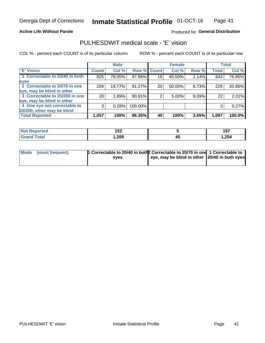#### **Active Life Without Parole**

#### Produced for General Distribution

## PULHESDWIT medical scale - 'E' vision

COL % - percent each COUNT is of its particular column

|                                |                    | <b>Male</b> |             |    | <b>Female</b> |       |              | <b>Total</b> |
|--------------------------------|--------------------|-------------|-------------|----|---------------|-------|--------------|--------------|
| <b>E' Vision</b>               | Count <sup>'</sup> | Col %       | Row % Count |    | Col %         | Row % | <b>Total</b> | Col %        |
| 1 Correctable to 20/40 in both | 825                | 78.05%      | 97.86%      | 18 | 45.00%        | 2.14% | 843          | 76.85%       |
| eyes                           |                    |             |             |    |               |       |              |              |
| 2 Correctable to 20/70 in one  | 209                | 19.77%      | 91.27%      | 20 | 50.00%        | 8.73% | 229          | 20.88%       |
| eye, may be blind in other     |                    |             |             |    |               |       |              |              |
| 3 Correctable to 20/200 in one | 201                | 1.89%       | 90.91%      |    | $5.00\%$      | 9.09% | 22           | 2.01%        |
| eye, may be blind in other     |                    |             |             |    |               |       |              |              |
| 4 One eye not correctable to   | 3                  | 0.28%       | 100.00%     |    |               |       | 3            | 0.27%        |
| 20/200, other may be blind     |                    |             |             |    |               |       |              |              |
| <b>Total Reported</b>          | 1,057              | 100%        | 96.35%      | 40 | 100%          | 3.65% | 1,097        | 100.0%       |

| orted<br><b>NOT REDOM</b><br>$\cdots$ | 1 F A<br>1 J L |    | <b>457</b><br>ישו |
|---------------------------------------|----------------|----|-------------------|
| Total                                 | ,209           | 45 | .254              |

| Mode (most frequent) | 1 Correctable to 20/40 in both 2 Correctable to 20/70 in one 1 Correctable to<br>eves | eye, may be blind in other 20/40 in both eyes |  |
|----------------------|---------------------------------------------------------------------------------------|-----------------------------------------------|--|
|                      |                                                                                       |                                               |  |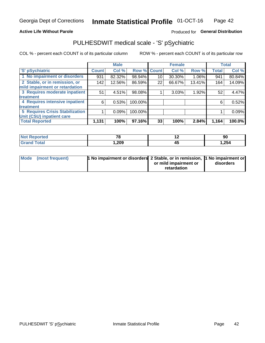#### **Active Life Without Parole**

#### Produced for General Distribution

## PULHESDWIT medical scale - 'S' pSychiatric

COL % - percent each COUNT is of its particular column

|                                        |              | <b>Male</b> |         |             | <b>Female</b> |        |              | <b>Total</b> |
|----------------------------------------|--------------|-------------|---------|-------------|---------------|--------|--------------|--------------|
| 'S' pSychiatric                        | <b>Count</b> | Col %       |         | Row % Count | Col %         | Row %  | <b>Total</b> | Col %        |
| 1 No impairment or disorders           | 931          | 82.32%      | 98.94%  | 10          | 30.30%        | 1.06%  | 941          | 80.84%       |
| 2 Stable, or in remission, or          | 142          | 12.56%      | 86.59%  | 22          | 66.67%        | 13.41% | 164          | 14.09%       |
| mild impairment or retardation         |              |             |         |             |               |        |              |              |
| 3 Requires moderate inpatient          | 51           | 4.51%       | 98.08%  |             | 3.03%         | 1.92%  | 52           | 4.47%        |
| <b>treatment</b>                       |              |             |         |             |               |        |              |              |
| 4 Requires intensive inpatient         | 6            | 0.53%       | 100.00% |             |               |        | 6            | 0.52%        |
| treatment                              |              |             |         |             |               |        |              |              |
| <b>5 Requires Crisis Stabilization</b> |              | 0.09%       | 100.00% |             |               |        |              | 0.09%        |
| Unit (CSU) inpatient care              |              |             |         |             |               |        |              |              |
| <b>Total Reported</b>                  | 1,131        | 100%        | 97.16%  | 33          | 100%          | 2.84%  | 1,164        | 100.0%       |

| <b>Not Reported</b>  | 70<br>$\sim$ | $\overline{\phantom{0}}$ | 90    |
|----------------------|--------------|--------------------------|-------|
| <b>Total</b><br>Cror | 209, ا       |                          | .254، |

| Mode (most frequent) | 1 No impairment or disorders 2 Stable, or in remission, 11 No impairment or |                       |           |
|----------------------|-----------------------------------------------------------------------------|-----------------------|-----------|
|                      |                                                                             | or mild impairment or | disorders |
|                      |                                                                             | retardation           |           |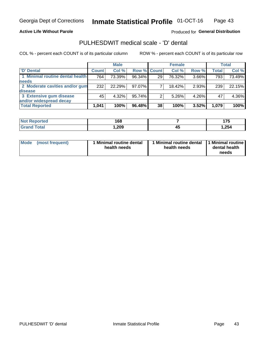**Active Life Without Parole** 

Produced for General Distribution

## PULHESDWIT medical scale - 'D' dental

COL % - percent each COUNT is of its particular column

|                                 |              | <b>Male</b> |             |    | <b>Female</b> |       |              | <b>Total</b> |
|---------------------------------|--------------|-------------|-------------|----|---------------|-------|--------------|--------------|
| 'D' Dental                      | <b>Count</b> | Col %       | Row % Count |    | Col %         | Row % | <b>Total</b> | Col %        |
| 1 Minimal routine dental health | 764          | 73.39%      | 96.34%      | 29 | 76.32%        | 3.66% | 793          | 73.49%       |
| <b>needs</b>                    |              |             |             |    |               |       |              |              |
| 2 Moderate cavities and/or gum  | 232          | 22.29%      | 97.07%      |    | 18.42%        | 2.93% | 239          | 22.15%       |
| disease                         |              |             |             |    |               |       |              |              |
| 3 Extensive gum disease         | 45           | 4.32%       | 95.74%      |    | 5.26%         | 4.26% | 47           | 4.36%        |
| and/or widespread decay         |              |             |             |    |               |       |              |              |
| <b>Total Reported</b>           | 1,041        | 100%        | 96.48%      | 38 | 100%          | 3.52% | 1,079        | 100%         |

| prtea<br>NOT R<br>. | 168  |    | .     |
|---------------------|------|----|-------|
| Tota                | ,209 | 43 | 1,254 |

| <b>Mode</b><br>(most frequent) | <b>Minimal routine dental</b><br>health needs | 1 Minimal routine dental<br>health needs | 1 Minimal routine<br>dental health<br>needs |
|--------------------------------|-----------------------------------------------|------------------------------------------|---------------------------------------------|
|--------------------------------|-----------------------------------------------|------------------------------------------|---------------------------------------------|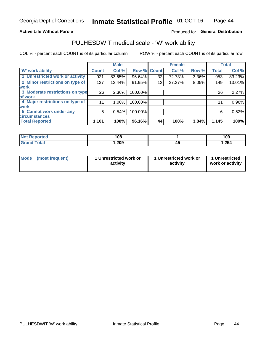#### **Active Life Without Parole**

#### Produced for General Distribution

### PULHESDWIT medical scale - 'W' work ability

COL % - percent each COUNT is of its particular column

|                                 |              | <b>Male</b> |         |             | <b>Female</b> |       |              | <b>Total</b> |
|---------------------------------|--------------|-------------|---------|-------------|---------------|-------|--------------|--------------|
| <b>W' work ability</b>          | <b>Count</b> | Col %       |         | Row % Count | Col %         | Row % | <b>Total</b> | Col %        |
| 1 Unrestricted work or activity | 921          | 83.65%      | 96.64%  | 32          | 72.73%        | 3.36% | 953          | 83.23%       |
| 2 Minor restrictions on type of | 137          | 12.44%      | 91.95%  | 12          | 27.27%        | 8.05% | 149          | 13.01%       |
| <b>work</b>                     |              |             |         |             |               |       |              |              |
| 3 Moderate restrictions on type | 26           | $2.36\%$    | 100.00% |             |               |       | 26           | 2.27%        |
| lof work                        |              |             |         |             |               |       |              |              |
| 4 Major restrictions on type of | 11           | $1.00\%$    | 100.00% |             |               |       | 11           | 0.96%        |
| <b>work</b>                     |              |             |         |             |               |       |              |              |
| 5 Cannot work under any         | 6            | 0.54%       | 100.00% |             |               |       | 6            | 0.52%        |
| <b>circumstances</b>            |              |             |         |             |               |       |              |              |
| <b>Total Reported</b>           | 1,101        | 100%        | 96.16%  | 44          | 100%          | 3.84% | 1,145        | 100%         |

| <b>Not Reported</b>         | 108    |    | 109    |
|-----------------------------|--------|----|--------|
| <b>Total</b><br><b>Gran</b> | 209, ا | т. | .254 ا |

| Mode (most frequent) | 1 Unrestricted work or | 1 Unrestricted work or | 1 Unrestricted   |
|----------------------|------------------------|------------------------|------------------|
|                      | activity               | activity               | work or activity |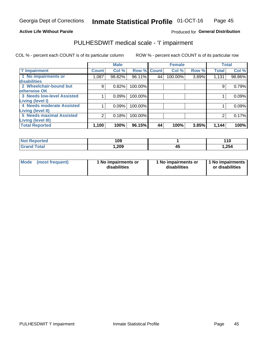#### **Active Life Without Parole**

#### Produced for General Distribution

## PULHESDWIT medical scale - 'I' impairment

COL % - percent each COUNT is of its particular column ROW % - percent each COUNT is of its particular row

|                                   |                    | <b>Male</b> |         |              | <b>Female</b> |       |              | <b>Total</b> |
|-----------------------------------|--------------------|-------------|---------|--------------|---------------|-------|--------------|--------------|
| <b>T' Impairment</b>              | Count <sup>!</sup> | Col %       | Row %   | <b>Count</b> | Col %         | Row % | <b>Total</b> | Col %        |
| 1 No impairments or               | 1,087              | 98.82%      | 96.11%  | 44           | 100.00%       | 3.89% | 1,131        | 98.86%       |
| disabilities                      |                    |             |         |              |               |       |              |              |
| 2 Wheelchair-bound but            | 9                  | 0.82%       | 100.00% |              |               |       | 9            | 0.79%        |
| otherwise OK                      |                    |             |         |              |               |       |              |              |
| <b>3 Needs low-level Assisted</b> |                    | 0.09%       | 100.00% |              |               |       |              | 0.09%        |
| Living (level I)                  |                    |             |         |              |               |       |              |              |
| 4 Needs moderate Assisted         |                    | 0.09%       | 100.00% |              |               |       |              | 0.09%        |
| <b>Living (level II)</b>          |                    |             |         |              |               |       |              |              |
| <b>5 Needs maximal Assisted</b>   | 2                  | 0.18%       | 100.00% |              |               |       | 2            | 0.17%        |
| <b>Living (level III)</b>         |                    |             |         |              |               |       |              |              |
| <b>Total Reported</b>             | 1,100              | 100%        | 96.15%  | 44           | 100%          | 3.85% | 1,144        | 100%         |

| orted        | 109  |     | 110    |
|--------------|------|-----|--------|
| <b>Total</b> | ,209 | . . | 254, ا |

| Mode | (most frequent) | 1 No impairments or<br>disabilities | 1 No impairments or<br>disabilities | 1 No impairments<br>or disabilities |
|------|-----------------|-------------------------------------|-------------------------------------|-------------------------------------|
|------|-----------------|-------------------------------------|-------------------------------------|-------------------------------------|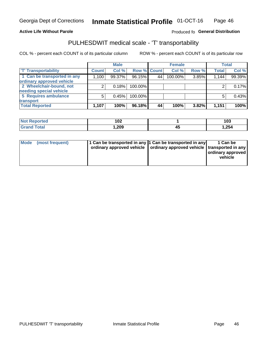#### **Active Life Without Parole**

#### Produced fo General Distribution

## PULHESDWIT medical scale - 'T' transportability

COL % - percent each COUNT is of its particular column

|                             |              | <b>Male</b> |             |    | <b>Female</b> |       |              | <b>Total</b> |
|-----------------------------|--------------|-------------|-------------|----|---------------|-------|--------------|--------------|
| <b>T' Transportability</b>  | <b>Count</b> | Col %       | Row % Count |    | Col %         | Row % | <b>Total</b> | Col %        |
| 1 Can be transported in any | 1,100        | 99.37%      | 96.15%      | 44 | 100.00%       | 3.85% | 1,144        | 99.39%       |
| ordinary approved vehicle   |              |             |             |    |               |       |              |              |
| 2 Wheelchair-bound, not     |              | 0.18%       | 100.00%     |    |               |       |              | 0.17%        |
| needing special vehicle     |              |             |             |    |               |       |              |              |
| 5 Requires ambulance        |              | 0.45%       | 100.00%     |    |               |       |              | 0.43%        |
| transport                   |              |             |             |    |               |       |              |              |
| <b>Total Reported</b>       | 1,107        | 100%        | 96.18%      | 44 | 100%          | 3.82% | 1,151        | 100%         |

| orteo       | 102  |    | 103   |
|-------------|------|----|-------|
| <b>otal</b> | ,209 | т. | 1,254 |

| Mode (most frequent) | 1 Can be transported in any 1 Can be transported in any | ordinary approved vehicle   ordinary approved vehicle   transported in any | 1 Can be<br>ordinary approved<br>vehicle |
|----------------------|---------------------------------------------------------|----------------------------------------------------------------------------|------------------------------------------|
|                      |                                                         |                                                                            |                                          |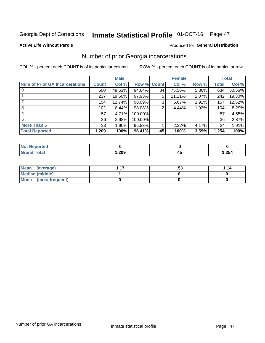## Inmate Statistical Profile 01-OCT-16 Page 47

#### **Active Life Without Parole**

#### Produced for General Distribution

## Number of prior Georgia incarcerations

COL % - percent each COUNT is of its particular column

|                                       |              | <b>Male</b> |                    |    | <b>Female</b> |       |       | <b>Total</b> |
|---------------------------------------|--------------|-------------|--------------------|----|---------------|-------|-------|--------------|
| <b>Num of Prior GA Incarcerations</b> | <b>Count</b> | Col %       | <b>Row % Count</b> |    | Col %         | Row % | Total | Col %        |
|                                       | 600          | 49.63%      | 94.64%             | 34 | 75.56%        | 5.36% | 634   | 50.56%       |
|                                       | 237          | 19.60%      | 97.93%             | 5  | 11.11%        | 2.07% | 242   | 19.30%       |
| $\mathbf{2}$                          | 154          | 12.74%      | 98.09%             | 3  | 6.67%         | 1.91% | 157   | 12.52%       |
| 3                                     | 102          | 8.44%       | 98.08%             | 2  | 4.44%         | 1.92% | 104   | 8.29%        |
|                                       | 57           | 4.71%       | 100.00%            |    |               |       | 57    | 4.55%        |
| 5                                     | 36           | 2.98%       | 100.00%            |    |               |       | 36    | 2.87%        |
| <b>More Than 5</b>                    | 23           | 1.90%       | 95.83%             |    | 2.22%         | 4.17% | 24    | 1.91%        |
| <b>Total Reported</b>                 | 1,209        | 100%        | 96.41%             | 45 | 100%          | 3.59% | 1,254 | 100%         |

| <b>orted</b><br>NG               |               |    |       |
|----------------------------------|---------------|----|-------|
| <b>Total</b><br>$\mathbf{v}$ and | റററ<br>עט∡, ו | −~ | 1,254 |

| Mean (average)       | .აა | 1.14 |
|----------------------|-----|------|
| Median (middle)      |     |      |
| Mode (most frequent) |     |      |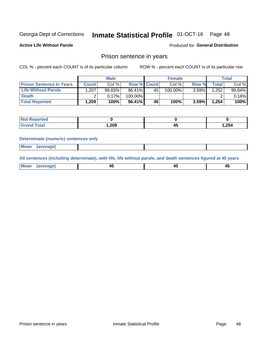## Inmate Statistical Profile 01-OCT-16 Page 48

**Active Life Without Parole** 

Produced for General Distribution

### Prison sentence in years

COL % - percent each COUNT is of its particular column

ROW % - percent each COUNT is of its particular row

|                                 |              | <b>Male</b> |                    |    | <b>Female</b> |          |       | Total  |
|---------------------------------|--------------|-------------|--------------------|----|---------------|----------|-------|--------|
| <b>Prison Sentence In Years</b> | <b>Count</b> | Col %       | <b>Row % Count</b> |    | Col %         | Row %    | Total | Col %  |
| <b>Life Without Parole</b>      | .207         | 99.83%      | 96.41%             | 45 | 100.00%       | $3.59\%$ | 1,252 | 99.84% |
| <b>Death</b>                    |              | 0.17%       | 100.00%            |    |               |          |       | 0.16%  |
| <b>Total Reported</b>           | 1,209        | 100%        | $96.41\%$          | 45 | 100%          | 3.59%    | 1,254 | 100%   |

| ported       |      |    |       |
|--------------|------|----|-------|
| <b>cotal</b> | .209 | -- | 1,254 |

#### **Determinate (numeric) sentences only**

| ' Mea<br><b>Service</b> A<br>ЯМА. |  |  |  |
|-----------------------------------|--|--|--|
|                                   |  |  |  |

All sentences (including determinate), with life, life without parole, and death sentences figured at 45 years

| MС<br>a r -<br>-- |         |  |  |
|-------------------|---------|--|--|
|                   | ------- |  |  |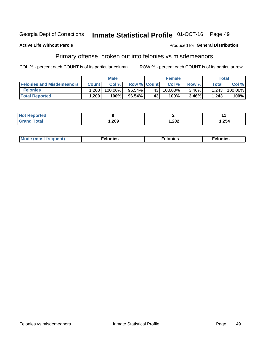#### Georgia Dept of Corrections Inmate Statistical Profile 01-OCT-16 Page 49

#### **Active Life Without Parole**

#### Produced for General Distribution

## Primary offense, broken out into felonies vs misdemeanors

COL % - percent each COUNT is of its particular column

|                                  |              | <b>Male</b> |                    |              | <b>Female</b> |          |       | Total   |
|----------------------------------|--------------|-------------|--------------------|--------------|---------------|----------|-------|---------|
| <b>Felonies and Misdemeanors</b> | <b>Count</b> | Col%        | <b>Row % Count</b> |              | Col%          | Row %    | Total | Col %   |
| <b>Felonies</b>                  | .200         | 100.00%     | 96.54%             | 43           | $100.00\%$    | $3.46\%$ | 1,243 | 100.00% |
| <b>Total Reported</b>            | ,200         | $100\%$     | $96.54\%$          | $43^{\circ}$ | 100%          | 3.46%    | 1,243 | 100%    |

| <b>Not Reported</b>          |        |      |        |
|------------------------------|--------|------|--------|
| <b>Total</b><br><b>Grand</b> | 209, ا | ,202 | .254 ا |

| Mode (most frequent)<br>elonies | Felonies | Felonies |
|---------------------------------|----------|----------|
|---------------------------------|----------|----------|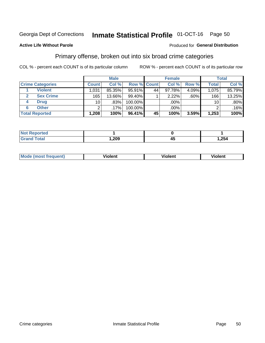#### **Inmate Statistical Profile 01-OCT-16** Page 50

#### **Active Life Without Parole**

#### Produced for General Distribution

## Primary offense, broken out into six broad crime categories

COL % - percent each COUNT is of its particular column

|                         |              | <b>Male</b> |         |                    | <b>Female</b> |          |                 | <b>Total</b> |
|-------------------------|--------------|-------------|---------|--------------------|---------------|----------|-----------------|--------------|
| <b>Crime Categories</b> | <b>Count</b> | Col %       |         | <b>Row % Count</b> | Col %         | Row %    | <b>Total</b>    | Col %        |
| <b>Violent</b>          | 1,031        | 85.35%      | 95.91%  | 44                 | 97.78%        | $4.09\%$ | 1,075           | 85.79%       |
| <b>Sex Crime</b><br>2   | 165          | 13.66%      | 99.40%  |                    | 2.22%         | $.60\%$  | 166             | 13.25%       |
| <b>Drug</b><br>4        | 10           | .83%        | 100.00% |                    | .00%          |          | 10 <sup>1</sup> | $.80\%$      |
| <b>Other</b><br>6       | 2            | $.17\%$     | 100.00% |                    | .00%          |          | ົ               | .16%         |
| <b>Total Reported</b>   | 1,208        | 100%        | 96.41%  | 45                 | 100%          | 3.59%    | 1,253           | 100%         |

| <b>Not Reported</b> |      |       |
|---------------------|------|-------|
| $T0+0$              | ,209 | 1,254 |

| Mode (most frequent) | <br>∕iolent | Violent | Violent |
|----------------------|-------------|---------|---------|
|                      |             |         |         |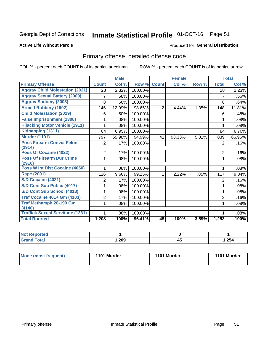## Inmate Statistical Profile 01-OCT-16 Page 51

#### **Active Life Without Parole**

#### Produced for General Distribution

## Primary offense, detailed offense code

COL % - percent each COUNT is of its particular column

|                                                   |                | <b>Male</b> |         |                | <b>Female</b> |       |                | <b>Total</b> |
|---------------------------------------------------|----------------|-------------|---------|----------------|---------------|-------|----------------|--------------|
| <b>Primary Offense</b>                            | <b>Count</b>   | Col %       | Row %   | <b>Count</b>   | Col %         | Row % | <b>Total</b>   | Col %        |
| <b>Aggrav Child Molestation (2021)</b>            | 28             | 2.32%       | 100.00% |                |               |       | 28             | 2.23%        |
| <b>Aggrav Sexual Battery (2009)</b>               | 7              | .58%        | 100.00% |                |               |       | $\overline{7}$ | .56%         |
| <b>Aggrav Sodomy (2003)</b>                       | 8              | .66%        | 100.00% |                |               |       | 8              | .64%         |
| <b>Armed Robbery (1902)</b>                       | 146            | 12.09%      | 98.65%  | $\overline{2}$ | 4.44%         | 1.35% | 148            | 11.81%       |
| <b>Child Molestation (2019)</b>                   | 6              | .50%        | 100.00% |                |               |       | 6              | .48%         |
| <b>False Imprisonment (1308)</b>                  |                | .08%        | 100.00% |                |               |       | 1              | .08%         |
| <b>Hijacking Motor Vehicle (1911)</b>             |                | .08%        | 100.00% |                |               |       |                | .08%         |
| Kidnapping (1311)                                 | 84             | 6.95%       | 100.00% |                |               |       | 84             | 6.70%        |
| <b>Murder (1101)</b>                              | 797            | 65.98%      | 94.99%  | 42             | 93.33%        | 5.01% | 839            | 66.96%       |
| <b>Poss Firearm Convct Felon</b><br>(2914)        | $\overline{2}$ | .17%        | 100.00% |                |               |       | 2              | .16%         |
| Poss Of Cocaine (4022)                            | $\overline{2}$ | .17%        | 100.00% |                |               |       | 2              | .16%         |
| <b>Poss Of Firearm Dur Crime</b><br>(2910)        | 1.             | .08%        | 100.00% |                |               |       | 1              | .08%         |
| Poss W Int Dist Cocaine (4050)                    |                | .08%        | 100.00% |                |               |       |                | .08%         |
| <b>Rape (2001)</b>                                | 116            | 9.60%       | 99.15%  |                | 2.22%         | .85%  | 117            | 9.34%        |
| <b>S/D Cocaine (4021)</b>                         | $\overline{2}$ | .17%        | 100.00% |                |               |       | $\overline{2}$ | .16%         |
| S/D Cont Sub Public (4017)                        |                | .08%        | 100.00% |                |               |       | 1              | .08%         |
| S/D Cont Sub School (4018)                        |                | .08%        | 100.00% |                |               |       | 1              | .08%         |
| <b>Traf Cocaine 401+ Gm (4103)</b>                | $\overline{2}$ | .17%        | 100.00% |                |               |       | $\overline{2}$ | .16%         |
| <b>Traf Methamph 28-199 Gm</b>                    | 1              | .08%        | 100.00% |                |               |       | 1              | .08%         |
| (4140)<br><b>Traffick Sexual Servitude (1331)</b> |                | .08%        | 100.00% |                |               |       | 1              | .08%         |
| <b>Total Rported</b>                              | 1,208          | 100%        | 96.41%  | 45             | 100%          | 3.59% | 1,253          | 100%         |

| Reported            |      |                  |       |
|---------------------|------|------------------|-------|
| <b>Total</b><br>Gra | ,209 | - -<br>∕''<br>᠇֊ | 1,254 |

| Mode (most frequent) | 1101 Murder | 1101 Murder | 1101 Murder |
|----------------------|-------------|-------------|-------------|
|                      |             |             |             |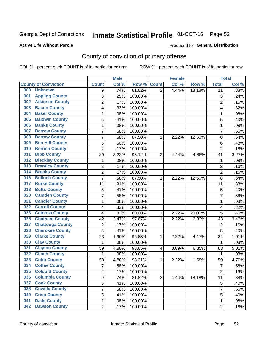## Inmate Statistical Profile 01-OCT-16 Page 52

#### **Active Life Without Parole**

#### Produced for General Distribution

## County of conviction of primary offense

COL % - percent each COUNT is of its particular column

|                                |                | <b>Male</b> |         |                | <b>Female</b> |        |                           | <b>Total</b> |
|--------------------------------|----------------|-------------|---------|----------------|---------------|--------|---------------------------|--------------|
| <b>County of Conviction</b>    | <b>Count</b>   | Col %       | Row %   | <b>Count</b>   | Col %         | Row %  | <b>Total</b>              | Col %        |
| 000<br><b>Unknown</b>          | 9              | .74%        | 81.82%  | $\overline{2}$ | 4.44%         | 18.18% | 11                        | .88%         |
| <b>Appling County</b><br>001   | 3              | .25%        | 100.00% |                |               |        | $\ensuremath{\mathsf{3}}$ | .24%         |
| <b>Atkinson County</b><br>002  | $\overline{c}$ | .17%        | 100.00% |                |               |        | $\overline{2}$            | .16%         |
| <b>Bacon County</b><br>003     | 4              | .33%        | 100.00% |                |               |        | $\overline{\mathbf{4}}$   | .32%         |
| <b>Baker County</b><br>004     | 1              | .08%        | 100.00% |                |               |        | 1                         | .08%         |
| <b>Baldwin County</b><br>005   | 5              | .41%        | 100.00% |                |               |        | 5                         | .40%         |
| <b>Banks County</b><br>006     | 1              | .08%        | 100.00% |                |               |        | $\mathbf 1$               | .08%         |
| <b>Barrow County</b><br>007    | $\overline{7}$ | .58%        | 100.00% |                |               |        | $\overline{7}$            | .56%         |
| <b>Bartow County</b><br>008    | 7              | .58%        | 87.50%  | 1              | 2.22%         | 12.50% | 8                         | .64%         |
| <b>Ben Hill County</b><br>009  | $\,6$          | .50%        | 100.00% |                |               |        | 6                         | .48%         |
| <b>Berrien County</b><br>010   | $\overline{2}$ | .17%        | 100.00% |                |               |        | $\overline{2}$            | .16%         |
| <b>Bibb County</b><br>011      | 39             | 3.23%       | 95.12%  | $\overline{2}$ | 4.44%         | 4.88%  | 41                        | 3.27%        |
| <b>Bleckley County</b><br>012  | 1              | .08%        | 100.00% |                |               |        | $\mathbf 1$               | .08%         |
| <b>Brantley County</b><br>013  | $\overline{2}$ | .17%        | 100.00% |                |               |        | $\overline{2}$            | .16%         |
| <b>Brooks County</b><br>014    | $\overline{c}$ | .17%        | 100.00% |                |               |        | $\overline{2}$            | .16%         |
| <b>Bulloch County</b><br>016   | $\overline{7}$ | .58%        | 87.50%  | 1              | 2.22%         | 12.50% | 8                         | .64%         |
| <b>Burke County</b><br>017     | 11             | .91%        | 100.00% |                |               |        | 11                        | .88%         |
| <b>Butts County</b><br>018     | 5              | .41%        | 100.00% |                |               |        | 5                         | .40%         |
| <b>Camden County</b><br>020    | $\overline{7}$ | .58%        | 100.00% |                |               |        | $\overline{7}$            | .56%         |
| <b>Candler County</b><br>021   | 1              | .08%        | 100.00% |                |               |        | 1                         | .08%         |
| <b>Carroll County</b><br>022   | 4              | .33%        | 100.00% |                |               |        | $\overline{\mathbf{4}}$   | .32%         |
| <b>Catoosa County</b><br>023   | 4              | .33%        | 80.00%  | $\mathbf{1}$   | 2.22%         | 20.00% | 5                         | .40%         |
| <b>Chatham County</b><br>025   | 42             | 3.47%       | 97.67%  | 1              | 2.22%         | 2.33%  | 43                        | 3.43%        |
| <b>Chattooga County</b><br>027 | $\overline{2}$ | .17%        | 100.00% |                |               |        | $\overline{2}$            | .16%         |
| <b>Cherokee County</b><br>028  | 5              | .41%        | 100.00% |                |               |        | 5                         | .40%         |
| <b>Clarke County</b><br>029    | 23             | 1.90%       | 95.83%  | 1              | 2.22%         | 4.17%  | 24                        | 1.91%        |
| <b>Clay County</b><br>030      | 1              | .08%        | 100.00% |                |               |        | 1                         | .08%         |
| <b>Clayton County</b><br>031   | 59             | 4.88%       | 93.65%  | 4              | 8.89%         | 6.35%  | 63                        | 5.02%        |
| <b>Clinch County</b><br>032    | $\mathbf 1$    | .08%        | 100.00% |                |               |        | 1                         | .08%         |
| <b>Cobb County</b><br>033      | 58             | 4.80%       | 98.31%  | 1              | 2.22%         | 1.69%  | 59                        | 4.70%        |
| <b>Coffee County</b><br>034    | $\overline{7}$ | .58%        | 100.00% |                |               |        | $\overline{7}$            | .56%         |
| 035<br><b>Colquitt County</b>  | 2              | .17%        | 100.00% |                |               |        | 2                         | .16%         |
| <b>Columbia County</b><br>036  | 9              | .74%        | 81.82%  | $\overline{2}$ | 4.44%         | 18.18% | 11                        | .88%         |
| 037<br><b>Cook County</b>      | 5              | .41%        | 100.00% |                |               |        | 5                         | .40%         |
| <b>Coweta County</b><br>038    | 7              | .58%        | 100.00% |                |               |        | $\overline{7}$            | .56%         |
| <b>Crisp County</b><br>040     | 5              | .41%        | 100.00% |                |               |        | 5                         | .40%         |
| <b>Dade County</b><br>041      | 1              | .08%        | 100.00% |                |               |        | 1                         | .08%         |
| <b>Dawson County</b><br>042    | $\overline{2}$ | .17%        | 100.00% |                |               |        | $\overline{2}$            | .16%         |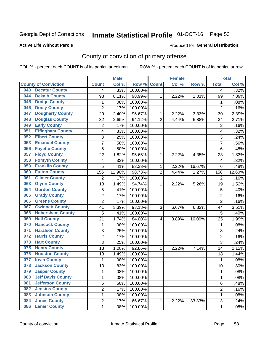## Inmate Statistical Profile 01-OCT-16 Page 53

#### **Active Life Without Parole**

#### Produced for General Distribution

## County of conviction of primary offense

COL % - percent each COUNT is of its particular column

|     |                             |                         | <b>Male</b> |         |                | <b>Female</b> |        |                | <b>Total</b> |
|-----|-----------------------------|-------------------------|-------------|---------|----------------|---------------|--------|----------------|--------------|
|     | <b>County of Conviction</b> | <b>Count</b>            | Col %       | Row %   | <b>Count</b>   | Col %         | Row %  | <b>Total</b>   | Col %        |
| 043 | <b>Decatur County</b>       | 4                       | .33%        | 100.00% |                |               |        | 4              | .32%         |
| 044 | <b>Dekalb County</b>        | 98                      | 8.11%       | 98.99%  | 1              | 2.22%         | 1.01%  | 99             | 7.89%        |
| 045 | <b>Dodge County</b>         | $\mathbf{1}$            | .08%        | 100.00% |                |               |        | 1              | .08%         |
| 046 | <b>Dooly County</b>         | $\overline{2}$          | .17%        | 100.00% |                |               |        | $\overline{2}$ | .16%         |
| 047 | <b>Dougherty County</b>     | 29                      | 2.40%       | 96.67%  | 1              | 2.22%         | 3.33%  | 30             | 2.39%        |
| 048 | <b>Douglas County</b>       | 32                      | 2.65%       | 94.12%  | $\overline{2}$ | 4.44%         | 5.88%  | 34             | 2.71%        |
| 049 | <b>Early County</b>         | $\overline{c}$          | .17%        | 100.00% |                |               |        | $\overline{2}$ | .16%         |
| 051 | <b>Effingham County</b>     | 4                       | .33%        | 100.00% |                |               |        | 4              | .32%         |
| 052 | <b>Elbert County</b>        | 3                       | .25%        | 100.00% |                |               |        | 3              | .24%         |
| 053 | <b>Emanuel County</b>       | $\overline{7}$          | .58%        | 100.00% |                |               |        | 7              | .56%         |
| 056 | <b>Fayette County</b>       | 6                       | .50%        | 100.00% |                |               |        | 6              | .48%         |
| 057 | <b>Floyd County</b>         | 22                      | 1.82%       | 95.65%  | 1              | 2.22%         | 4.35%  | 23             | 1.83%        |
| 058 | <b>Forsyth County</b>       | 4                       | .33%        | 100.00% |                |               |        | 4              | .32%         |
| 059 | <b>Franklin County</b>      | 5                       | .41%        | 83.33%  | 1              | 2.22%         | 16.67% | 6              | .48%         |
| 060 | <b>Fulton County</b>        | 156                     | 12.90%      | 98.73%  | $\overline{2}$ | 4.44%         | 1.27%  | 158            | 12.60%       |
| 061 | <b>Gilmer County</b>        | $\overline{2}$          | .17%        | 100.00% |                |               |        | 2              | .16%         |
| 063 | <b>Glynn County</b>         | 18                      | 1.49%       | 94.74%  | 1              | 2.22%         | 5.26%  | 19             | 1.52%        |
| 064 | <b>Gordon County</b>        | 5                       | .41%        | 100.00% |                |               |        | 5              | .40%         |
| 065 | <b>Grady County</b>         | $\overline{2}$          | .17%        | 100.00% |                |               |        | $\overline{2}$ | .16%         |
| 066 | <b>Greene County</b>        | $\overline{2}$          | .17%        | 100.00% |                |               |        | $\overline{2}$ | .16%         |
| 067 | <b>Gwinnett County</b>      | 41                      | 3.39%       | 93.18%  | 3              | 6.67%         | 6.82%  | 44             | 3.51%        |
| 068 | <b>Habersham County</b>     | 5                       | .41%        | 100.00% |                |               |        | 5              | .40%         |
| 069 | <b>Hall County</b>          | 21                      | 1.74%       | 84.00%  | 4              | 8.89%         | 16.00% | 25             | 1.99%        |
| 070 | <b>Hancock County</b>       | 1                       | .08%        | 100.00% |                |               |        | 1              | .08%         |
| 071 | <b>Haralson County</b>      | 3                       | .25%        | 100.00% |                |               |        | 3              | .24%         |
| 072 | <b>Harris County</b>        | $\overline{2}$          | .17%        | 100.00% |                |               |        | $\overline{2}$ | .16%         |
| 073 | <b>Hart County</b>          | 3                       | .25%        | 100.00% |                |               |        | 3              | .24%         |
| 075 | <b>Henry County</b>         | 13                      | 1.08%       | 92.86%  | 1              | 2.22%         | 7.14%  | 14             | 1.12%        |
| 076 | <b>Houston County</b>       | 18                      | 1.49%       | 100.00% |                |               |        | 18             | 1.44%        |
| 077 | <b>Irwin County</b>         | $\mathbf{1}$            | .08%        | 100.00% |                |               |        | $\mathbf{1}$   | .08%         |
| 078 | <b>Jackson County</b>       | 10                      | .83%        | 100.00% |                |               |        | 10             | .80%         |
| 079 | <b>Jasper County</b>        | 1                       | .08%        | 100.00% |                |               |        | 1              | .08%         |
| 080 | <b>Jeff Davis County</b>    | 1                       | .08%        | 100.00% |                |               |        | $\mathbf{1}$   | .08%         |
| 081 | <b>Jefferson County</b>     | 6                       | .50%        | 100.00% |                |               |        | 6              | .48%         |
| 082 | <b>Jenkins County</b>       | $\overline{\mathbf{c}}$ | .17%        | 100.00% |                |               |        | $\overline{2}$ | .16%         |
| 083 | <b>Johnson County</b>       | 1                       | .08%        | 100.00% |                |               |        | $\mathbf{1}$   | .08%         |
| 084 | <b>Jones County</b>         | 2                       | .17%        | 66.67%  | $\mathbf{1}$   | 2.22%         | 33.33% | 3              | .24%         |
| 086 | <b>Lanier County</b>        | $\mathbf 1$             | .08%        | 100.00% |                |               |        | $\mathbf 1$    | .08%         |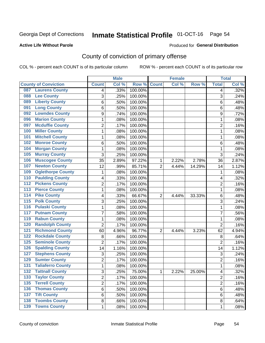## Inmate Statistical Profile 01-OCT-16 Page 54

#### **Active Life Without Parole**

#### Produced for General Distribution

## County of conviction of primary offense

COL % - percent each COUNT is of its particular column

|                                            |                | <b>Male</b> |         |                | <b>Female</b> |        |                | <b>Total</b> |
|--------------------------------------------|----------------|-------------|---------|----------------|---------------|--------|----------------|--------------|
| <b>County of Conviction</b>                | <b>Count</b>   | Col %       | Row %   | <b>Count</b>   | Col %         | Row %  | <b>Total</b>   | Col %        |
| <b>Laurens County</b><br>087               | 4              | .33%        | 100.00% |                |               |        | 4              | .32%         |
| <b>Lee County</b><br>088                   | 3              | .25%        | 100.00% |                |               |        | 3              | .24%         |
| <b>Liberty County</b><br>089               | 6              | .50%        | 100.00% |                |               |        | 6              | .48%         |
| <b>Long County</b><br>091                  | 6              | .50%        | 100.00% |                |               |        | 6              | .48%         |
| <b>Lowndes County</b><br>092               | 9              | .74%        | 100.00% |                |               |        | 9              | .72%         |
| <b>Marion County</b><br>096                | 1              | .08%        | 100.00% |                |               |        | $\mathbf{1}$   | .08%         |
| <b>Mcduffie County</b><br>097              | 2              | .17%        | 100.00% |                |               |        | $\overline{2}$ | .16%         |
| <b>Miller County</b><br>100                | 1              | .08%        | 100.00% |                |               |        | $\mathbf{1}$   | .08%         |
| <b>Mitchell County</b><br>101              | 1              | .08%        | 100.00% |                |               |        | 1              | .08%         |
| <b>Monroe County</b><br>102                | 6              | .50%        | 100.00% |                |               |        | 6              | .48%         |
| <b>Morgan County</b><br>104                | 1              | .08%        | 100.00% |                |               |        | 1              | .08%         |
| <b>Murray County</b><br>105                | 3              | .25%        | 100.00% |                |               |        | 3              | .24%         |
| <b>Muscogee County</b><br>106              | 35             | 2.89%       | 97.22%  | 1              | 2.22%         | 2.78%  | 36             | 2.87%        |
| <b>Newton County</b><br>107                | 12             | .99%        | 85.71%  | $\overline{2}$ | 4.44%         | 14.29% | 14             | 1.12%        |
| <b>Oglethorpe County</b><br>109            | 1              | .08%        | 100.00% |                |               |        | 1              | .08%         |
| <b>Paulding County</b><br>110              | 4              | .33%        | 100.00% |                |               |        | 4              | .32%         |
| <b>Pickens County</b><br>112               | 2              | .17%        | 100.00% |                |               |        | $\overline{2}$ | .16%         |
| <b>Pierce County</b><br>$\overline{113}$   | 1              | .08%        | 100.00% |                |               |        | 1              | .08%         |
| <b>Pike County</b><br>$\overline{114}$     | 4              | .33%        | 66.67%  | $\overline{2}$ | 4.44%         | 33.33% | 6              | .48%         |
| <b>Polk County</b><br>$\overline{115}$     | 3              | .25%        | 100.00% |                |               |        | $\overline{3}$ | .24%         |
| <b>Pulaski County</b><br>116               | 1              | .08%        | 100.00% |                |               |        | 1              | .08%         |
| <b>Putnam County</b><br>117                | $\overline{7}$ | .58%        | 100.00% |                |               |        | $\overline{7}$ | .56%         |
| <b>Rabun County</b><br>119                 | 1              | .08%        | 100.00% |                |               |        | $\mathbf{1}$   | .08%         |
| <b>Randolph County</b><br>120              | $\overline{2}$ | .17%        | 100.00% |                |               |        | $\overline{2}$ | .16%         |
| <b>Richmond County</b><br>121              | 60             | 4.96%       | 96.77%  | $\overline{2}$ | 4.44%         | 3.23%  | 62             | 4.94%        |
| <b>Rockdale County</b><br>122              | 8              | .66%        | 100.00% |                |               |        | 8              | .64%         |
| <b>Seminole County</b><br>$\overline{125}$ | $\overline{2}$ | .17%        | 100.00% |                |               |        | $\overline{2}$ | .16%         |
| <b>Spalding County</b><br>126              | 14             | 1.16%       | 100.00% |                |               |        | 14             | 1.12%        |
| <b>Stephens County</b><br>127              | 3              | .25%        | 100.00% |                |               |        | 3              | .24%         |
| <b>Sumter County</b><br>129                | 2              | .17%        | 100.00% |                |               |        | $\overline{2}$ | .16%         |
| <b>Taliaferro County</b><br>131            | 1              | .08%        | 100.00% |                |               |        | 1              | .08%         |
| <b>Tattnall County</b><br>$\overline{132}$ | 3              | .25%        | 75.00%  | 1              | 2.22%         | 25.00% | 4              | .32%         |
| <b>Taylor County</b><br>133                | $\overline{2}$ | .17%        | 100.00% |                |               |        | $\overline{2}$ | .16%         |
| <b>Terrell County</b><br>135               | $\overline{2}$ | .17%        | 100.00% |                |               |        | $\overline{2}$ | .16%         |
| <b>Thomas County</b><br>136                | 6              | .50%        | 100.00% |                |               |        | 6              | .48%         |
| <b>Tift County</b><br>137                  | 6              | .50%        | 100.00% |                |               |        | 6              | .48%         |
| <b>Toombs County</b><br>138                | 8              | .66%        | 100.00% |                |               |        | 8              | .64%         |
| <b>139 Towns County</b>                    | $\mathbf 1$    | .08%        | 100.00% |                |               |        | 1              | .08%         |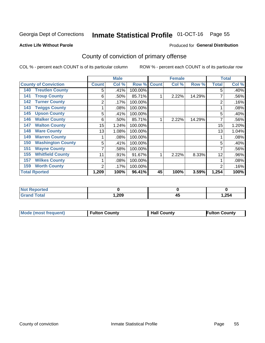## Inmate Statistical Profile 01-OCT-16 Page 55

#### **Active Life Without Parole**

#### Produced for General Distribution

## County of conviction of primary offense

COL % - percent each COUNT is of its particular column

|                                 |              | <b>Male</b> |         |              | <b>Female</b> |        |              | <b>Total</b> |
|---------------------------------|--------------|-------------|---------|--------------|---------------|--------|--------------|--------------|
| <b>County of Conviction</b>     | <b>Count</b> | Col %       | Row %   | <b>Count</b> | Col %         | Row %  | <b>Total</b> | Col %        |
| <b>Treutlen County</b><br>140   | 5            | .41%        | 100.00% |              |               |        | 5            | .40%         |
| <b>Troup County</b><br>141      | 6            | .50%        | 85.71%  |              | 2.22%         | 14.29% |              | .56%         |
| <b>Turner County</b><br>142     | 2            | .17%        | 100.00% |              |               |        | 2            | .16%         |
| <b>Twiggs County</b><br>143     |              | .08%        | 100.00% |              |               |        |              | .08%         |
| <b>Upson County</b><br>145      | 5            | .41%        | 100.00% |              |               |        | 5            | .40%         |
| <b>Walker County</b><br>146     | 6            | .50%        | 85.71%  | 4            | 2.22%         | 14.29% | 7            | .56%         |
| <b>Walton County</b><br>147     | 15           | 1.24%       | 100.00% |              |               |        | 15           | 1.20%        |
| <b>Ware County</b><br>148       | 13           | 1.08%       | 100.00% |              |               |        | 13           | 1.04%        |
| <b>Warren County</b><br>149     |              | .08%        | 100.00% |              |               |        |              | .08%         |
| <b>Washington County</b><br>150 | 5            | .41%        | 100.00% |              |               |        | 5            | .40%         |
| <b>Wayne County</b><br>151      | 7            | .58%        | 100.00% |              |               |        | 7            | .56%         |
| <b>Whitfield County</b><br>155  | 11           | .91%        | 91.67%  |              | 2.22%         | 8.33%  | 12           | .96%         |
| <b>Wilkes County</b><br>157     |              | .08%        | 100.00% |              |               |        |              | .08%         |
| <b>Worth County</b><br>159      | 2            | .17%        | 100.00% |              |               |        | 2            | .16%         |
| <b>Total Rported</b>            | 1,209        | 100%        | 96.41%  | 45           | 100%          | 3.59%  | 1,254        | 100%         |

| <b>ported</b><br><b>NG</b>    |      |   |       |
|-------------------------------|------|---|-------|
| <b>c</b> otal<br><b>Grand</b> | ,209 | ≁ | 1,254 |

|  | <b>Mode (most frequent)</b> | <b>Fulton County</b> | <b>Hall County</b> | <b>Fulton County</b> |
|--|-----------------------------|----------------------|--------------------|----------------------|
|--|-----------------------------|----------------------|--------------------|----------------------|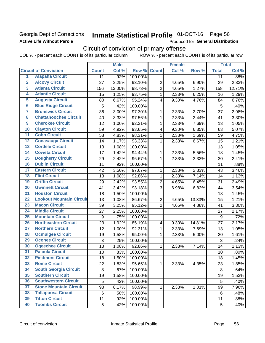### Georgia Dept of Corrections **Active Life Without Parole**

## Inmate Statistical Profile 01-OCT-16 Page 56

Produced for General Distribution

## Circuit of conviction of primary offense

COL % - percent each COUNT is of its particular column ROW % - percent each COUNT is of its particular row

|                         |                                 |                | <b>Male</b> |         |                         | <b>Female</b> |        |              | <b>Total</b> |
|-------------------------|---------------------------------|----------------|-------------|---------|-------------------------|---------------|--------|--------------|--------------|
|                         | <b>Circuit of Conviction</b>    | <b>Count</b>   | Col %       | Row %   | <b>Count</b>            | Col %         | Row %  | <b>Total</b> | Col %        |
| 1                       | <b>Alapaha Circuit</b>          | 11             | .92%        | 100.00% |                         |               |        | 11           | .88%         |
| $\overline{2}$          | <b>Alcovy Circuit</b>           | 27             | 2.25%       | 93.10%  | $\overline{2}$          | 4.65%         | 6.90%  | 29           | 2.33%        |
| $\overline{3}$          | <b>Atlanta Circuit</b>          | 156            | 13.00%      | 98.73%  | $\overline{2}$          | 4.65%         | 1.27%  | 158          | 12.71%       |
| 4                       | <b>Atlantic Circuit</b>         | 15             | 1.25%       | 93.75%  | 1                       | 2.33%         | 6.25%  | 16           | 1.29%        |
| $\overline{5}$          | <b>Augusta Circuit</b>          | 80             | 6.67%       | 95.24%  | 4                       | 9.30%         | 4.76%  | 84           | 6.76%        |
| $\overline{\bf{6}}$     | <b>Blue Ridge Circuit</b>       | $\overline{5}$ | .42%        | 100.00% |                         |               |        | 5            | .40%         |
| 7                       | <b>Brunswick Circuit</b>        | 36             | 3.00%       | 97.30%  | 1                       | 2.33%         | 2.70%  | 37           | 2.98%        |
| $\overline{\mathbf{8}}$ | <b>Chattahoochee Circuit</b>    | 40             | 3.33%       | 97.56%  | 1                       | 2.33%         | 2.44%  | 41           | 3.30%        |
| $\overline{9}$          | <b>Cherokee Circuit</b>         | 12             | 1.00%       | 92.31%  | 1                       | 2.33%         | 7.69%  | 13           | 1.05%        |
| 10                      | <b>Clayton Circuit</b>          | 59             | 4.92%       | 93.65%  | 4                       | 9.30%         | 6.35%  | 63           | 5.07%        |
| $\overline{11}$         | <b>Cobb Circuit</b>             | 58             | 4.83%       | 98.31%  | $\mathbf{1}$            | 2.33%         | 1.69%  | 59           | 4.75%        |
| $\overline{12}$         | <b>Conasauga Circuit</b>        | 14             | 1.17%       | 93.33%  | 1                       | 2.33%         | 6.67%  | 15           | 1.21%        |
| 13                      | <b>Cordele Circuit</b>          | 13             | 1.08%       | 100.00% |                         |               |        | 13           | 1.05%        |
| $\overline{14}$         | <b>Coweta Circuit</b>           | 17             | 1.42%       | 94.44%  | 1                       | 2.33%         | 5.56%  | 18           | 1.45%        |
| 15                      | <b>Dougherty Circuit</b>        | 29             | 2.42%       | 96.67%  | 1                       | 2.33%         | 3.33%  | 30           | 2.41%        |
| 16                      | <b>Dublin Circuit</b>           | 11             | .92%        | 100.00% |                         |               |        | 11           | .88%         |
| 17                      | <b>Eastern Circuit</b>          | 42             | 3.50%       | 97.67%  | 1                       | 2.33%         | 2.33%  | 43           | 3.46%        |
| $\overline{18}$         | <b>Flint Circuit</b>            | 13             | 1.08%       | 92.86%  | 1                       | 2.33%         | 7.14%  | 14           | 1.13%        |
| 19                      | <b>Griffin Circuit</b>          | 29             | 2.42%       | 93.55%  | $\overline{2}$          | 4.65%         | 6.45%  | 31           | 2.49%        |
| $\overline{20}$         | <b>Gwinnett Circuit</b>         | 41             | 3.42%       | 93.18%  | 3                       | 6.98%         | 6.82%  | 44           | 3.54%        |
| $\overline{21}$         | <b>Houston Circuit</b>          | 18             | 1.50%       | 100.00% |                         |               |        | 18           | 1.45%        |
| $\overline{22}$         | <b>Lookout Mountain Circuit</b> | 13             | 1.08%       | 86.67%  | $\overline{2}$          | 4.65%         | 13.33% | 15           | 1.21%        |
| 23                      | <b>Macon Circuit</b>            | 39             | 3.25%       | 95.12%  | $\overline{2}$          | 4.65%         | 4.88%  | 41           | 3.30%        |
| $\overline{24}$         | <b>Middle Circuit</b>           | 27             | 2.25%       | 100.00% |                         |               |        | 27           | 2.17%        |
| $\overline{25}$         | <b>Mountain Circuit</b>         | 9              | .75%        | 100.00% |                         |               |        | 9            | .72%         |
| 26                      | <b>Northeastern Circuit</b>     | 23             | 1.92%       | 85.19%  | $\overline{\mathbf{4}}$ | 9.30%         | 14.81% | 27           | 2.17%        |
| $\overline{27}$         | <b>Northern Circuit</b>         | 12             | 1.00%       | 92.31%  | 1                       | 2.33%         | 7.69%  | 13           | 1.05%        |
| 28                      | <b>Ocmulgee Circuit</b>         | 19             | 1.58%       | 95.00%  | 1                       | 2.33%         | 5.00%  | 20           | 1.61%        |
| 29                      | <b>Oconee Circuit</b>           | 3              | .25%        | 100.00% |                         |               |        | 3            | .24%         |
| 30                      | <b>Ogeechee Circuit</b>         | 13             | 1.08%       | 92.86%  | 1                       | 2.33%         | 7.14%  | 14           | 1.13%        |
| $\overline{31}$         | <b>Pataula Circuit</b>          | 10             | .83%        | 100.00% |                         |               |        | 10           | .80%         |
| 32                      | <b>Piedmont Circuit</b>         | 18             | 1.50%       | 100.00% |                         |               |        | 18           | 1.45%        |
| 33                      | <b>Rome Circuit</b>             | 22             | 1.83%       | 95.65%  | $\mathbf{1}$            | 2.33%         | 4.35%  | 23           | 1.85%        |
| 34                      | <b>South Georgia Circuit</b>    | 8              | .67%        | 100.00% |                         |               |        | 8            | .64%         |
| 35                      | <b>Southern Circuit</b>         | 19             | 1.58%       | 100.00% |                         |               |        | 19           | 1.53%        |
| 36                      | <b>Southwestern Circuit</b>     | 5              | .42%        | 100.00% |                         |               |        | 5            | .40%         |
| 37                      | <b>Stone Mountain Circuit</b>   | 98             | 8.17%       | 98.99%  | 1                       | 2.33%         | 1.01%  | 99           | 7.96%        |
| 38                      | <b>Tallapoosa Circuit</b>       | 6              | .50%        | 100.00% |                         |               |        | 6            | .48%         |
| 39                      | <b>Tifton Circuit</b>           | 11             | .92%        | 100.00% |                         |               |        | 11           | .88%         |
| 40                      | <b>Toombs Circuit</b>           | 5              | .42%        | 100.00% |                         |               |        | 5            | .40%         |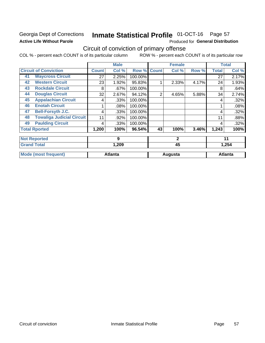### Georgia Dept of Corrections **Active Life Without Parole**

#### **Inmate Statistical Profile 01-OCT-16** Page 57

Produced for General Distribution

## Circuit of conviction of primary offense

COL % - percent each COUNT is of its particular column ROW % - percent each COUNT is of its particular row

|                    |                                  |              | <b>Male</b>    |         |                | <b>Female</b> |       |              | <b>Total</b>   |
|--------------------|----------------------------------|--------------|----------------|---------|----------------|---------------|-------|--------------|----------------|
|                    | <b>Circuit of Conviction</b>     | <b>Count</b> | Col %          | Row %   | <b>Count</b>   | Col %         | Row % | <b>Total</b> | Col %          |
| 41                 | <b>Waycross Circuit</b>          | 27           | 2.25%          | 100.00% |                |               |       | 27           | 2.17%          |
| 42                 | <b>Western Circuit</b>           | 23           | 1.92%          | 95.83%  |                | 2.33%         | 4.17% | 24           | 1.93%          |
| 43                 | <b>Rockdale Circuit</b>          | 8            | .67%           | 100.00% |                |               |       | 8            | .64%           |
| 44                 | <b>Douglas Circuit</b>           | 32           | 2.67%          | 94.12%  | $\overline{2}$ | 4.65%         | 5.88% | 34           | 2.74%          |
| 45                 | <b>Appalachian Circuit</b>       | 4            | .33%           | 100.00% |                |               |       | 4            | .32%           |
| 46                 | <b>Enotah Circuit</b>            |              | .08%           | 100.00% |                |               |       |              | .08%           |
| 47                 | <b>Bell-Forsyth J.C.</b>         | 4            | .33%           | 100.00% |                |               |       | 4            | .32%           |
| 48                 | <b>Towaliga Judicial Circuit</b> | 11           | .92%           | 100.00% |                |               |       | 11           | .88%           |
| 49                 | <b>Paulding Circuit</b>          | 4            | .33%           | 100.00% |                |               |       | 4            | .32%           |
|                    | <b>Total Rported</b>             | 1,200        | 100%           | 96.54%  | 43             | 100%          | 3.46% | 1,243        | 100%           |
|                    | <b>Not Reported</b>              |              | 9              |         |                | $\mathbf{2}$  |       |              | 11             |
| <b>Grand Total</b> |                                  | 1,209        |                |         | 45             |               |       | 1,254        |                |
|                    | <b>Mode (most frequent)</b>      |              | <b>Atlanta</b> |         |                | Augusta       |       |              | <b>Atlanta</b> |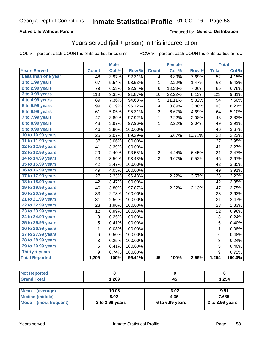#### **Active Life Without Parole**

#### Produced for General Distribution

### Years served (jail + prison) in this incarceration

COL % - percent each COUNT is of its particular column

|                       |                | <b>Male</b> |         |                 | <b>Female</b> |        |                 | <b>Total</b> |
|-----------------------|----------------|-------------|---------|-----------------|---------------|--------|-----------------|--------------|
| <b>Years Served</b>   | <b>Count</b>   | Col %       | Row %   | <b>Count</b>    | Col %         | Row %  | <b>Total</b>    | Col %        |
| Less than one year    | 48             | 3.97%       | 92.31%  | 4               | 8.89%         | 7.69%  | $\overline{52}$ | 4.15%        |
| 1 to 1.99 years       | 67             | 5.54%       | 98.53%  | 1               | 2.22%         | 1.47%  | 68              | 5.42%        |
| 2 to 2.99 years       | 79             | 6.53%       | 92.94%  | 6               | 13.33%        | 7.06%  | 85              | 6.78%        |
| 3 to 3.99 years       | 113            | 9.35%       | 91.87%  | 10              | 22.22%        | 8.13%  | 123             | 9.81%        |
| 4 to 4.99 years       | 89             | 7.36%       | 94.68%  | 5               | 11.11%        | 5.32%  | 94              | 7.50%        |
| 5 to 5.99 years       | 99             | 8.19%       | 96.12%  | 4               | 8.89%         | 3.88%  | 103             | 8.21%        |
| 6 to 6.99 years       | 61             | 5.05%       | 95.31%  | 3               | 6.67%         | 4.69%  | 64              | 5.10%        |
| 7 to 7.99 years       | 47             | 3.89%       | 97.92%  | $\mathbf 1$     | 2.22%         | 2.08%  | 48              | 3.83%        |
| 8 to 8.99 years       | 48             | 3.97%       | 97.96%  | 1               | 2.22%         | 2.04%  | 49              | 3.91%        |
| 9 to 9.99 years       | 46             | 3.80%       | 100.00% |                 |               |        | 46              | 3.67%        |
| 10 to 10.99 years     | 25             | 2.07%       | 89.29%  | 3               | 6.67%         | 10.71% | 28              | 2.23%        |
| 11 to 11.99 years     | 37             | 3.06%       | 100.00% |                 |               |        | 37              | 2.95%        |
| 12 to 12.99 years     | 41             | 3.39%       | 100.00% |                 |               |        | 41              | 3.27%        |
| 13 to 13.99 years     | 29             | 2.40%       | 93.55%  | $\overline{c}$  | 4.44%         | 6.45%  | 31              | 2.47%        |
| 14 to 14.99 years     | 43             | 3.56%       | 93.48%  | 3               | 6.67%         | 6.52%  | 46              | 3.67%        |
| 15 to 15.99 years     | 42             | 3.47%       | 100.00% |                 |               |        | 42              | 3.35%        |
| 16 to 16.99 years     | 49             | 4.05%       | 100.00% |                 |               |        | 49              | 3.91%        |
| 17 to 17.99 years     | 27             | 2.23%       | 96.43%  | $\mathbf 1$     | 2.22%         | 3.57%  | 28              | 2.23%        |
| 18 to 18.99 years     | 42             | 3.47%       | 100.00% |                 |               |        | 42              | 3.35%        |
| 19 to 19.99 years     | 46             | 3.80%       | 97.87%  | $\mathbf 1$     | 2.22%         | 2.13%  | 47              | 3.75%        |
| 20 to 20.99 years     | 33             | 2.73%       | 100.00% |                 |               |        | 33              | 2.63%        |
| 21 to 21.99 years     | 31             | 2.56%       | 100.00% |                 |               |        | 31              | 2.47%        |
| 22 to 22.99 years     | 23             | 1.90%       | 100.00% |                 |               |        | 23              | 1.83%        |
| 23 to 23.99 years     | 12             | 0.99%       | 100.00% |                 |               |        | 12              | 0.96%        |
| 24 to 24.99 years     | 3              | 0.25%       | 100.00% |                 |               |        | 3               | 0.24%        |
| 25 to 25.99 years     | 5              | 0.41%       | 100.00% |                 |               |        | $\overline{5}$  | 0.40%        |
| 26 to 26.99 years     | $\mathbf 1$    | 0.08%       | 100.00% |                 |               |        | $\mathbf 1$     | 0.08%        |
| 27 to 27.99 years     | 6              | 0.50%       | 100.00% |                 |               |        | 6               | 0.48%        |
| 28 to 28.99 years     | 3              | 0.25%       | 100.00% |                 |               |        | 3               | 0.24%        |
| 29 to 29.99 years     | 5              | 0.41%       | 100.00% |                 |               |        | 5               | 0.40%        |
| Thirty + years        | $\overline{9}$ | 0.74%       | 100.00% |                 |               |        | $\overline{9}$  | 0.72%        |
| <b>Total Reported</b> | 1,209          | 100%        | 96.41%  | $\overline{45}$ | 100%          | 3.59%  | 1,254           | 100.0%       |

| пею<br>N |        |    |      |
|----------|--------|----|------|
|          | 209, ، | ᠇៶ | ,254 |

| <b>Mean</b><br>(average) | 10.05           | 6.02              | 9.91            |
|--------------------------|-----------------|-------------------|-----------------|
| Median (middle)          | 8.02            | 4.36              | 7.685           |
| Mode (most frequent)     | 3 to 3.99 years | $6$ to 6.99 years | 3 to 3.99 years |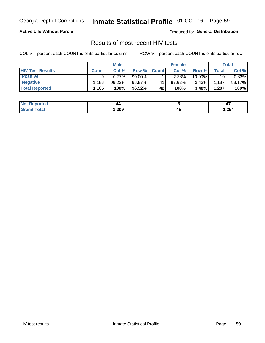## Inmate Statistical Profile 01-OCT-16 Page 59

#### **Active Life Without Parole**

Produced for General Distribution

### Results of most recent HIV tests

COL % - percent each COUNT is of its particular column

|                         | <b>Male</b>  |        |           | <b>Female</b> |        |        | Total |        |
|-------------------------|--------------|--------|-----------|---------------|--------|--------|-------|--------|
| <b>HIV Test Results</b> | <b>Count</b> | Col %  | Row %I    | <b>Count</b>  | Col %  | Row %  | Total | Col %  |
| <b>Positive</b>         |              | 0.77%  | $90.00\%$ |               | 2.38%  | 10.00% | 10    | 0.83%  |
| <b>Negative</b>         | .156         | 99.23% | 96.57%    | 41            | 97.62% | 3.43%  | 1,197 | 99.17% |
| <b>Total Reported</b>   | 1,165        | 100%   | 96.52%    | 42            | 100%   | 3.48%  | 1,207 | 100%   |

| <b>Not Reported</b> | 44   |   | . .  |
|---------------------|------|---|------|
| <b>cotal</b>        | ,209 | ᠇ | ,254 |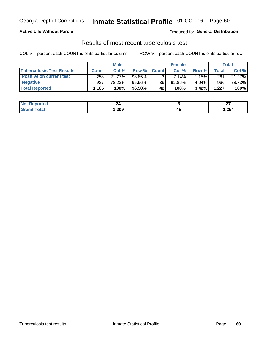## Georgia Dept of Corrections **Inmate Statistical Profile** 01-OCT-16 Page 60

#### **Active Life Without Parole**

Produced for **General Distribution**

## Results of most recent tuberculosis test

COL % - percent each COUNT is of its particular column ROW % - percent each COUNT is of its particular row

|                                  |              | <b>Male</b> |        |                 | <b>Female</b> |       |       | Total  |
|----------------------------------|--------------|-------------|--------|-----------------|---------------|-------|-------|--------|
| <b>Tuberculosis Test Results</b> | <b>Count</b> | Col%        | Row %I | <b>Count</b>    | Col%          | Row % | Total | Col %  |
| <b>Positive on current test</b>  | 258          | 21.77%      | 98.85% |                 | 7.14%         | 1.15% | 261   | 21.27% |
| <b>Negative</b>                  | 927          | 78.23%      | 95.96% | 39 <sub>1</sub> | 92.86%        | 4.04% | 966   | 78.73% |
| <b>Total Reported</b>            | 1,185        | 100%        | 96.58% | 42              | 100%          | 3.42% | 1,227 | 100%   |

| <b>Not Reported</b> | 44   |    | ~-<br>-- |
|---------------------|------|----|----------|
| <b>Fotal</b>        | ,209 | ᠇ᡂ | 254, ا   |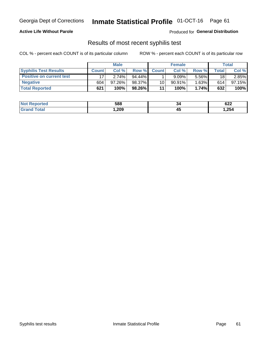## Georgia Dept of Corrections **Inmate Statistical Profile** 01-OCT-16 Page 61

#### **Active Life Without Parole**

Produced for **General Distribution**

### Results of most recent syphilis test

COL % - percent each COUNT is of its particular column ROW % - percent each COUNT is of its particular row

|                                 | <b>Male</b>  |           |           | <b>Female</b> |           |          | Total |        |
|---------------------------------|--------------|-----------|-----------|---------------|-----------|----------|-------|--------|
| <b>Syphilis Test Results</b>    | <b>Count</b> | Col%      | Row %I    | <b>Count</b>  | Col %     | Row %    | Total | Col %  |
| <b>Positive on current test</b> |              | 2.74%     | $94.44\%$ |               | 9.09%     | 5.56%    | 18    | 2.85%  |
| <b>Negative</b>                 | 604          | $97.26\%$ | 98.37%    | 10            | $90.91\%$ | $1.63\%$ | 614   | 97.15% |
| <b>Total Reported</b>           | 621          | 100%      | 98.26%    | 11            | 100%      | 1.74%    | 632   | 100%   |

| <b>Not Reported</b> | 588  | 34 | 622  |
|---------------------|------|----|------|
| Total               | ,209 | ∼  | 254, |